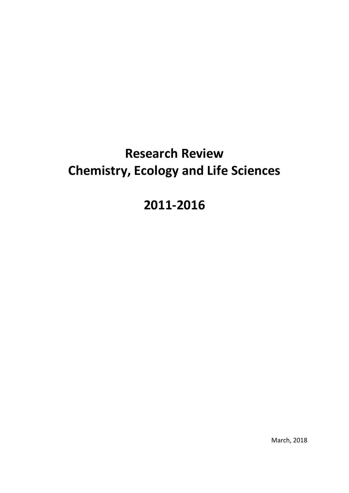# **Research Review Chemistry, Ecology and Life Sciences**

# **2011-2016**

March, 2018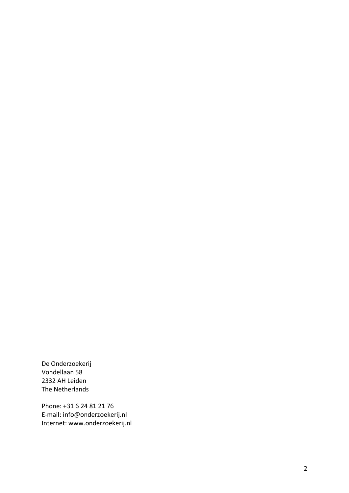De Onderzoekerij Vondellaan 58 2332 AH Leiden The Netherlands

Phone: +31 6 24 81 21 76 E -mail: info@onderzoekerij.nl Internet: www.onderzoekerij.nl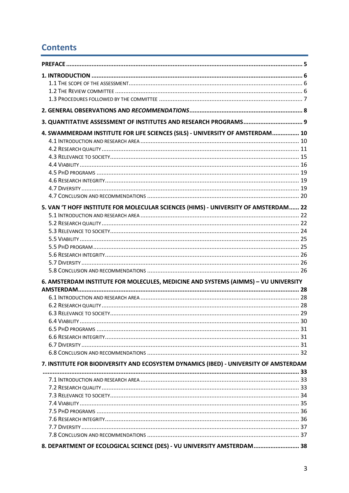# **Contents**

| 4. SWAMMERDAM INSTITUTE FOR LIFE SCIENCES (SILS) - UNIVERSITY OF AMSTERDAM 10         |  |
|---------------------------------------------------------------------------------------|--|
|                                                                                       |  |
|                                                                                       |  |
|                                                                                       |  |
|                                                                                       |  |
|                                                                                       |  |
|                                                                                       |  |
|                                                                                       |  |
| 5. VAN 'T HOFF INSTITUTE FOR MOLECULAR SCIENCES (HIMS) - UNIVERSITY OF AMSTERDAM 22   |  |
|                                                                                       |  |
|                                                                                       |  |
|                                                                                       |  |
|                                                                                       |  |
|                                                                                       |  |
|                                                                                       |  |
|                                                                                       |  |
|                                                                                       |  |
| 6. AMSTERDAM INSTITUTE FOR MOLECULES, MEDICINE AND SYSTEMS (AIMMS) - VU UNIVERSITY    |  |
|                                                                                       |  |
|                                                                                       |  |
|                                                                                       |  |
| 6 4 VIARILITY                                                                         |  |
|                                                                                       |  |
|                                                                                       |  |
|                                                                                       |  |
|                                                                                       |  |
| 7. INSTITUTE FOR BIODIVERSITY AND ECOSYSTEM DYNAMICS (IBED) - UNIVERSITY OF AMSTERDAM |  |
|                                                                                       |  |
|                                                                                       |  |
|                                                                                       |  |
|                                                                                       |  |
|                                                                                       |  |
|                                                                                       |  |
|                                                                                       |  |
|                                                                                       |  |
| 8. DEPARTMENT OF ECOLOGICAL SCIENCE (DES) - VU UNIVERSITY AMSTERDAM 38                |  |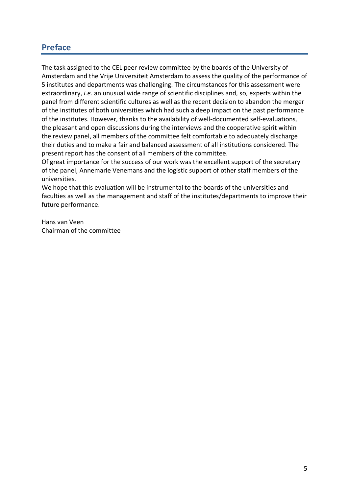# **Preface**

The task assigned to the CEL peer review committee by the boards of the University of Amsterdam and the Vrije Universiteit Amsterdam to assess the quality of the performance of 5 institutes and departments was challenging. The circumstances for this assessment were extraordinary, *i.e.* an unusual wide range of scientific disciplines and, so, experts within the panel from different scientific cultures as well as the recent decision to abandon the merger of the institutes of both universities which had such a deep impact on the past performance of the institutes. However, thanks to the availability of well-documented self-evaluations, the pleasant and open discussions during the interviews and the cooperative spirit within the review panel, all members of the committee felt comfortable to adequately discharge their duties and to make a fair and balanced assessment of all institutions considered. The present report has the consent of all members of the committee.

Of great importance for the success of our work was the excellent support of the secretary of the panel, Annemarie Venemans and the logistic support of other staff members of the universities.

We hope that this evaluation will be instrumental to the boards of the universities and faculties as well as the management and staff of the institutes/departments to improve their future performance.

Hans van Veen Chairman of the committee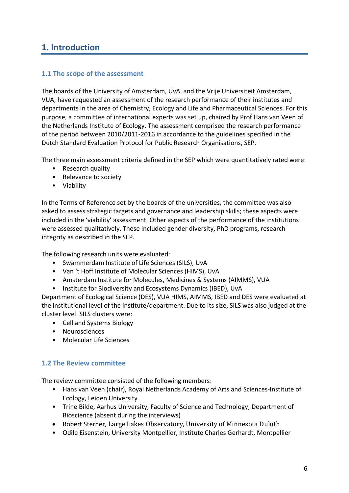# **1. Introduction**

# **1.1 The scope of the assessment**

The boards of the University of Amsterdam, UvA, and the Vrije Universiteit Amsterdam, VUA, have requested an assessment of the research performance of their institutes and departments in the area of Chemistry, Ecology and Life and Pharmaceutical Sciences. For this purpose, a committee of international experts was set up, chaired by Prof Hans van Veen of the Netherlands Institute of Ecology. The assessment comprised the research performance of the period between 2010/2011-2016 in accordance to the guidelines specified in the Dutch Standard Evaluation Protocol for Public Research Organisations, SEP.

The three main assessment criteria defined in the SEP which were quantitatively rated were:

- Research quality
- Relevance to society
- Viability

In the Terms of Reference set by the boards of the universities, the committee was also asked to assess strategic targets and governance and leadership skills; these aspects were included in the 'viability' assessment. Other aspects of the performance of the institutions were assessed qualitatively. These included gender diversity, PhD programs, research integrity as described in the SEP.

The following research units were evaluated:

- Swammerdam Institute of Life Sciences (SILS), UvA
- Van 't Hoff Institute of Molecular Sciences (HIMS), UvA
- Amsterdam Institute for Molecules, Medicines & Systems (AIMMS), VUA
- Institute for Biodiversity and Ecosystems Dynamics (IBED), UvA

Department of Ecological Science (DES), VUA HIMS, AIMMS, IBED and DES were evaluated at the institutional level of the institute/department. Due to its size, SILS was also judged at the cluster level. SILS clusters were:

- Cell and Systems Biology
- Neurosciences
- Molecular Life Sciences

#### **1.2 The Review committee**

The review committee consisted of the following members:

- Hans van Veen (chair), Royal Netherlands Academy of Arts and Sciences-Institute of Ecology, Leiden University
- Trine Bilde, Aarhus University, Faculty of Science and Technology, Department of Bioscience (absent during the interviews)
- Robert Sterner, Large Lakes Observatory, University of Minnesota Duluth
- Odile Eisenstein, University Montpellier, Institute Charles Gerhardt, Montpellier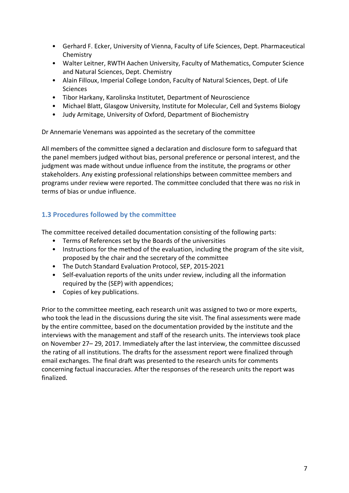- Gerhard F. Ecker, University of Vienna, Faculty of Life Sciences, Dept. Pharmaceutical Chemistry
- Walter Leitner, RWTH Aachen University, Faculty of Mathematics, Computer Science and Natural Sciences, Dept. Chemistry
- Alain Filloux, Imperial College London, Faculty of Natural Sciences, Dept. of Life Sciences
- Tibor Harkany, Karolinska Institutet, Department of Neuroscience
- Michael Blatt, Glasgow University, Institute for Molecular, Cell and Systems Biology
- Judy Armitage, University of Oxford, Department of Biochemistry

Dr Annemarie Venemans was appointed as the secretary of the committee

All members of the committee signed a declaration and disclosure form to safeguard that the panel members judged without bias, personal preference or personal interest, and the judgment was made without undue influence from the institute, the programs or other stakeholders. Any existing professional relationships between committee members and programs under review were reported. The committee concluded that there was no risk in terms of bias or undue influence.

# **1.3 Procedures followed by the committee**

The committee received detailed documentation consisting of the following parts:

- Terms of References set by the Boards of the universities
- Instructions for the method of the evaluation, including the program of the site visit, proposed by the chair and the secretary of the committee
- The Dutch Standard Evaluation Protocol, SEP, 2015-2021
- Self-evaluation reports of the units under review, including all the information required by the (SEP) with appendices;
- Copies of key publications.

Prior to the committee meeting, each research unit was assigned to two or more experts, who took the lead in the discussions during the site visit. The final assessments were made by the entire committee, based on the documentation provided by the institute and the interviews with the management and staff of the research units. The interviews took place on November 27– 29, 2017. Immediately after the last interview, the committee discussed the rating of all institutions. The drafts for the assessment report were finalized through email exchanges. The final draft was presented to the research units for comments concerning factual inaccuracies. After the responses of the research units the report was finalized.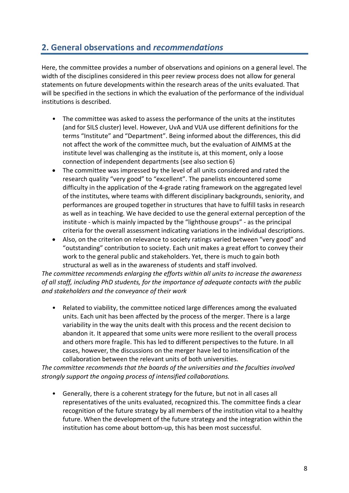# **2. General observations and** *recommendations*

Here, the committee provides a number of observations and opinions on a general level. The width of the disciplines considered in this peer review process does not allow for general statements on future developments within the research areas of the units evaluated. That will be specified in the sections in which the evaluation of the performance of the individual institutions is described.

- The committee was asked to assess the performance of the units at the institutes (and for SILS cluster) level. However, UvA and VUA use different definitions for the terms "Institute" and "Department". Being informed about the differences, this did not affect the work of the committee much, but the evaluation of AIMMS at the institute level was challenging as the institute is, at this moment, only a loose connection of independent departments (see also section 6)
- The committee was impressed by the level of all units considered and rated the research quality "very good" to "excellent". The panelists encountered some difficulty in the application of the 4-grade rating framework on the aggregated level of the institutes, where teams with different disciplinary backgrounds, seniority, and performances are grouped together in structures that have to fulfill tasks in research as well as in teaching. We have decided to use the general external perception of the institute - which is mainly impacted by the "lighthouse groups" - as the principal criteria for the overall assessment indicating variations in the individual descriptions.
- Also, on the criterion on relevance to society ratings varied between "very good" and "outstanding" contribution to society. Each unit makes a great effort to convey their work to the general public and stakeholders. Yet, there is much to gain both structural as well as in the awareness of students and staff involved.

*The committee recommends enlarging the efforts within all units to increase the awareness of all staff, including PhD students, for the importance of adequate contacts with the public and stakeholders and the conveyance of their work* 

• Related to viability, the committee noticed large differences among the evaluated units. Each unit has been affected by the process of the merger. There is a large variability in the way the units dealt with this process and the recent decision to abandon it. It appeared that some units were more resilient to the overall process and others more fragile. This has led to different perspectives to the future. In all cases, however, the discussions on the merger have led to intensification of the collaboration between the relevant units of both universities.

*The committee recommends that the boards of the universities and the faculties involved strongly support the ongoing process of intensified collaborations.*

• Generally, there is a coherent strategy for the future, but not in all cases all representatives of the units evaluated, recognized this. The committee finds a clear recognition of the future strategy by all members of the institution vital to a healthy future. When the development of the future strategy and the integration within the institution has come about bottom-up, this has been most successful.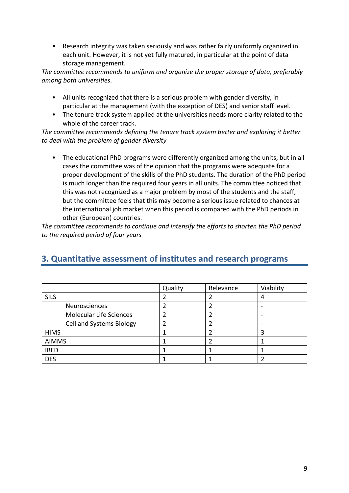• Research integrity was taken seriously and was rather fairly uniformly organized in each unit. However, it is not yet fully matured, in particular at the point of data storage management.

*The committee recommends to uniform and organize the proper storage of data, preferably among both universities*.

- All units recognized that there is a serious problem with gender diversity, in particular at the management (with the exception of DES) and senior staff level.
- The tenure track system applied at the universities needs more clarity related to the whole of the career track.

*The committee recommends defining the tenure track system better and exploring it better to deal with the problem of gender diversity*

• The educational PhD programs were differently organized among the units, but in all cases the committee was of the opinion that the programs were adequate for a proper development of the skills of the PhD students. The duration of the PhD period is much longer than the required four years in all units. The committee noticed that this was not recognized as a major problem by most of the students and the staff, but the committee feels that this may become a serious issue related to chances at the international job market when this period is compared with the PhD periods in other (European) countries.

*The committee recommends to continue and intensify the efforts to shorten the PhD period to the required period of four years* 

|                                | Quality | Relevance | Viability |
|--------------------------------|---------|-----------|-----------|
| <b>SILS</b>                    |         |           |           |
| <b>Neurosciences</b>           |         |           |           |
| <b>Molecular Life Sciences</b> |         |           |           |
| Cell and Systems Biology       | 2       |           |           |
| <b>HIMS</b>                    |         |           |           |
| <b>AIMMS</b>                   |         |           |           |
| <b>IBED</b>                    |         |           |           |
| <b>DES</b>                     |         |           |           |

# **3. Quantitative assessment of institutes and research programs**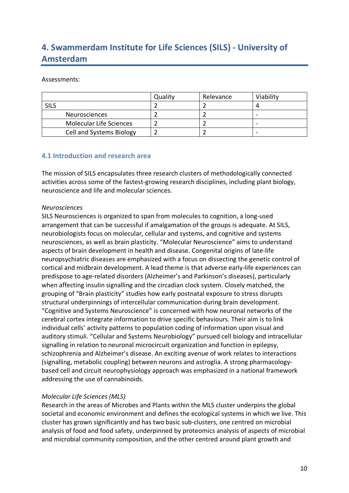# **4. Swammerdam Institute for Life Sciences (SILS) - University of Amsterdam**

Assessments:

|                                | Quality | Relevance | Viability |
|--------------------------------|---------|-----------|-----------|
| <b>SILS</b>                    |         |           |           |
| <b>Neurosciences</b>           |         |           | -         |
| <b>Molecular Life Sciences</b> |         |           | -         |
| Cell and Systems Biology       |         |           |           |

## **4.1 Introduction and research area**

The mission of SILS encapsulates three research clusters of methodologically connected activities across some of the fastest-growing research disciplines, including plant biology, neuroscience and life and molecular sciences.

#### *Neurosciences*

SILS Neurosciences is organized to span from molecules to cognition, a long-used arrangement that can be successful if amalgamation of the groups is adequate. At SILS, neurobiologists focus on molecular, cellular and systems, and cognitive and systems neurosciences, as well as brain plasticity. "Molecular Neuroscience" aims to understand aspects of brain development in health and disease. Congenital origins of late-life neuropsychiatric diseases are emphasized with a focus on dissecting the genetic control of cortical and midbrain development. A lead theme is that adverse early-life experiences can predispose to age-related disorders (Alzheimer's and Parkinson's diseases), particularly when affecting insulin signalling and the circadian clock system. Closely matched, the grouping of "Brain plasticity" studies how early postnatal exposure to stress disrupts structural underpinnings of intercellular communication during brain development. "Cognitive and Systems Neuroscience" is concerned with how neuronal networks of the cerebral cortex integrate information to drive specific behaviours. Their aim is to link individual cells' activity patterns to population coding of information upon visual and auditory stimuli. "Cellular and Systems Neurobiology" pursued cell biology and intracellular signalling in relation to neuronal microcircuit organization and function in epilepsy, schizophrenia and Alzheimer's disease. An exciting avenue of work relates to interactions (signalling, metabolic coupling) between neurons and astroglia. A strong pharmacologybased cell and circuit neurophysiology approach was emphasized in a national framework addressing the use of cannabinoids.

#### *Molecular Life Sciences (MLS)*

Research in the areas of Microbes and Plants within the MLS cluster underpins the global societal and economic environment and defines the ecological systems in which we live. This cluster has grown significantly and has two basic sub-clusters, one centred on microbial analysis of food and food safety, underpinned by proteomics analysis of aspects of microbial and microbial community composition, and the other centred around plant growth and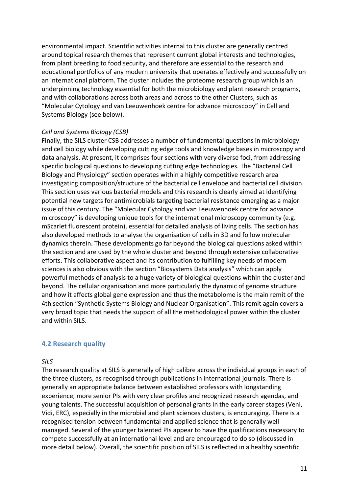environmental impact. Scientific activities internal to this cluster are generally centred around topical research themes that represent current global interests and technologies, from plant breeding to food security, and therefore are essential to the research and educational portfolios of any modern university that operates effectively and successfully on an international platform. The cluster includes the proteome research group which is an underpinning technology essential for both the microbiology and plant research programs, and with collaborations across both areas and across to the other Clusters, such as "Molecular Cytology and van Leeuwenhoek centre for advance microscopy" in Cell and Systems Biology (see below).

#### *Cell and Systems Biology (CSB)*

Finally, the SILS cluster CSB addresses a number of fundamental questions in microbiology and cell biology while developing cutting edge tools and knowledge bases in microscopy and data analysis. At present, it comprises four sections with very diverse foci, from addressing specific biological questions to developing cutting edge technologies. The "Bacterial Cell Biology and Physiology" section operates within a highly competitive research area investigating composition/structure of the bacterial cell envelope and bacterial cell division. This section uses various bacterial models and this research is clearly aimed at identifying potential new targets for antimicrobials targeting bacterial resistance emerging as a major issue of this century. The "Molecular Cytology and van Leeuwenhoek centre for advance microscopy" is developing unique tools for the international microscopy community (e.g. mScarlet fluorescent protein), essential for detailed analysis of living cells. The section has also developed methods to analyse the organisation of cells in 3D and follow molecular dynamics therein. These developments go far beyond the biological questions asked within the section and are used by the whole cluster and beyond through extensive collaborative efforts. This collaborative aspect and its contribution to fulfilling key needs of modern sciences is also obvious with the section "Biosystems Data analysis" which can apply powerful methods of analysis to a huge variety of biological questions within the cluster and beyond. The cellular organisation and more particularly the dynamic of genome structure and how it affects global gene expression and thus the metabolome is the main remit of the 4th section "Synthetic Systems Biology and Nuclear Organisation". This remit again covers a very broad topic that needs the support of all the methodological power within the cluster and within SILS.

#### **4.2 Research quality**

#### *SILS*

The research quality at SILS is generally of high calibre across the individual groups in each of the three clusters, as recognised through publications in international journals. There is generally an appropriate balance between established professors with longstanding experience, more senior PIs with very clear profiles and recognized research agendas, and young talents. The successful acquisition of personal grants in the early career stages (Veni, Vidi, ERC), especially in the microbial and plant sciences clusters, is encouraging. There is a recognised tension between fundamental and applied science that is generally well managed. Several of the younger talented PIs appear to have the qualifications necessary to compete successfully at an international level and are encouraged to do so (discussed in more detail below). Overall, the scientific position of SILS is reflected in a healthy scientific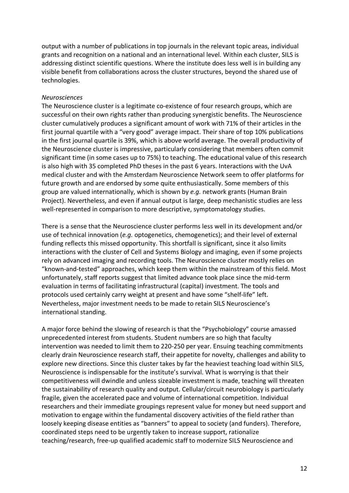output with a number of publications in top journals in the relevant topic areas, individual grants and recognition on a national and an international level. Within each cluster, SILS is addressing distinct scientific questions. Where the institute does less well is in building any visible benefit from collaborations across the cluster structures, beyond the shared use of technologies.

#### *Neurosciences*

The Neuroscience cluster is a legitimate co-existence of four research groups, which are successful on their own rights rather than producing synergistic benefits. The Neuroscience cluster cumulatively produces a significant amount of work with 71% of their articles in the first journal quartile with a "very good" average impact. Their share of top 10% publications in the first journal quartile is 39%, which is above world average. The overall productivity of the Neuroscience cluster is impressive, particularly considering that members often commit significant time (in some cases up to 75%) to teaching. The educational value of this research is also high with 35 completed PhD theses in the past 6 years. Interactions with the UvA medical cluster and with the Amsterdam Neuroscience Network seem to offer platforms for future growth and are endorsed by some quite enthusiastically. Some members of this group are valued internationally, which is shown by *e.g.* network grants (Human Brain Project). Nevertheless, and even if annual output is large, deep mechanistic studies are less well-represented in comparison to more descriptive, symptomatology studies.

There is a sense that the Neuroscience cluster performs less well in its development and/or use of technical innovation (*e.g.* optogenetics, chemogenetics); and their level of external funding reflects this missed opportunity. This shortfall is significant, since it also limits interactions with the cluster of Cell and Systems Biology and imaging, even if some projects rely on advanced imaging and recording tools. The Neuroscience cluster mostly relies on "known-and-tested" approaches, which keep them within the mainstream of this field. Most unfortunately, staff reports suggest that limited advance took place since the mid-term evaluation in terms of facilitating infrastructural (capital) investment. The tools and protocols used certainly carry weight at present and have some "shelf-life" left. Nevertheless, major investment needs to be made to retain SILS Neuroscience's international standing.

A major force behind the slowing of research is that the "Psychobiology" course amassed unprecedented interest from students. Student numbers are so high that faculty intervention was needed to limit them to 220-250 per year. Ensuing teaching commitments clearly drain Neuroscience research staff, their appetite for novelty, challenges and ability to explore new directions. Since this cluster takes by far the heaviest teaching load within SILS, Neuroscience is indispensable for the institute's survival. What is worrying is that their competitiveness will dwindle and unless sizeable investment is made, teaching will threaten the sustainability of research quality and output. Cellular/circuit neurobiology is particularly fragile, given the accelerated pace and volume of international competition. Individual researchers and their immediate groupings represent value for money but need support and motivation to engage within the fundamental discovery activities of the field rather than loosely keeping disease entities as "banners" to appeal to society (and funders). Therefore, coordinated steps need to be urgently taken to increase support, rationalize teaching/research, free-up qualified academic staff to modernize SILS Neuroscience and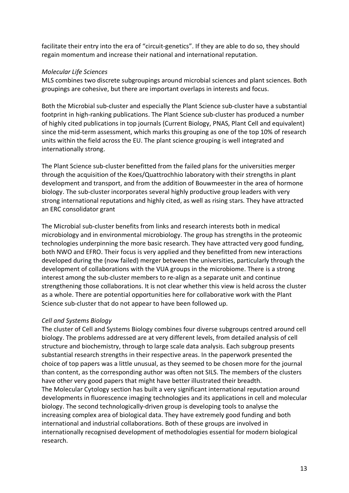facilitate their entry into the era of "circuit-genetics". If they are able to do so, they should regain momentum and increase their national and international reputation.

## *Molecular Life Sciences*

MLS combines two discrete subgroupings around microbial sciences and plant sciences. Both groupings are cohesive, but there are important overlaps in interests and focus.

Both the Microbial sub-cluster and especially the Plant Science sub-cluster have a substantial footprint in high-ranking publications. The Plant Science sub-cluster has produced a number of highly cited publications in top journals (Current Biology, PNAS, Plant Cell and equivalent) since the mid-term assessment, which marks this grouping as one of the top 10% of research units within the field across the EU. The plant science grouping is well integrated and internationally strong.

The Plant Science sub-cluster benefitted from the failed plans for the universities merger through the acquisition of the Koes/Quattrochhio laboratory with their strengths in plant development and transport, and from the addition of Bouwmeester in the area of hormone biology. The sub-cluster incorporates several highly productive group leaders with very strong international reputations and highly cited, as well as rising stars. They have attracted an ERC consolidator grant

The Microbial sub-cluster benefits from links and research interests both in medical microbiology and in environmental microbiology. The group has strengths in the proteomic technologies underpinning the more basic research. They have attracted very good funding, both NWO and EFRO. Their focus is very applied and they benefitted from new interactions developed during the (now failed) merger between the universities, particularly through the development of collaborations with the VUA groups in the microbiome. There is a strong interest among the sub-cluster members to re-align as a separate unit and continue strengthening those collaborations. It is not clear whether this view is held across the cluster as a whole. There are potential opportunities here for collaborative work with the Plant Science sub-cluster that do not appear to have been followed up.

#### *Cell and Systems Biology*

The cluster of Cell and Systems Biology combines four diverse subgroups centred around cell biology. The problems addressed are at very different levels, from detailed analysis of cell structure and biochemistry, through to large scale data analysis. Each subgroup presents substantial research strengths in their respective areas. In the paperwork presented the choice of top papers was a little unusual, as they seemed to be chosen more for the journal than content, as the corresponding author was often not SILS. The members of the clusters have other very good papers that might have better illustrated their breadth. The Molecular Cytology section has built a very significant international reputation around developments in fluorescence imaging technologies and its applications in cell and molecular biology. The second technologically-driven group is developing tools to analyse the increasing complex area of biological data. They have extremely good funding and both international and industrial collaborations. Both of these groups are involved in internationally recognised development of methodologies essential for modern biological research.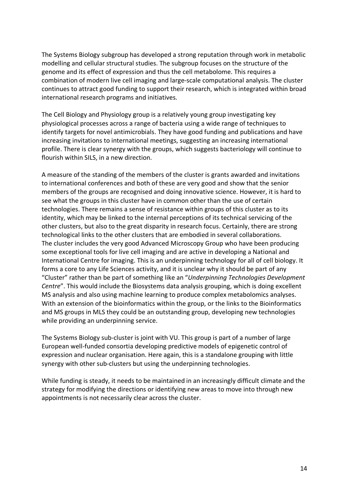The Systems Biology subgroup has developed a strong reputation through work in metabolic modelling and cellular structural studies. The subgroup focuses on the structure of the genome and its effect of expression and thus the cell metabolome. This requires a combination of modern live cell imaging and large-scale computational analysis. The cluster continues to attract good funding to support their research, which is integrated within broad international research programs and initiatives.

The Cell Biology and Physiology group is a relatively young group investigating key physiological processes across a range of bacteria using a wide range of techniques to identify targets for novel antimicrobials. They have good funding and publications and have increasing invitations to international meetings, suggesting an increasing international profile. There is clear synergy with the groups, which suggests bacteriology will continue to flourish within SILS, in a new direction.

A measure of the standing of the members of the cluster is grants awarded and invitations to international conferences and both of these are very good and show that the senior members of the groups are recognised and doing innovative science. However, it is hard to see what the groups in this cluster have in common other than the use of certain technologies. There remains a sense of resistance within groups of this cluster as to its identity, which may be linked to the internal perceptions of its technical servicing of the other clusters, but also to the great disparity in research focus. Certainly, there are strong technological links to the other clusters that are embodied in several collaborations. The cluster includes the very good Advanced Microscopy Group who have been producing some exceptional tools for live cell imaging and are active in developing a National and International Centre for imaging. This is an underpinning technology for all of cell biology. It forms a core to any Life Sciences activity, and it is unclear why it should be part of any "Cluster" rather than be part of something like an "*Underpinning Technologies Development Centre*". This would include the Biosystems data analysis grouping, which is doing excellent MS analysis and also using machine learning to produce complex metabolomics analyses. With an extension of the bioinformatics within the group, or the links to the Bioinformatics and MS groups in MLS they could be an outstanding group, developing new technologies while providing an underpinning service.

The Systems Biology sub-cluster is joint with VU. This group is part of a number of large European well-funded consortia developing predictive models of epigenetic control of expression and nuclear organisation. Here again, this is a standalone grouping with little synergy with other sub-clusters but using the underpinning technologies.

While funding is steady, it needs to be maintained in an increasingly difficult climate and the strategy for modifying the directions or identifying new areas to move into through new appointments is not necessarily clear across the cluster.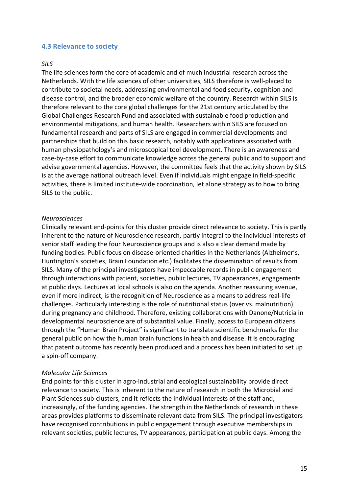#### **4.3 Relevance to society**

#### *SILS*

The life sciences form the core of academic and of much industrial research across the Netherlands. With the life sciences of other universities, SILS therefore is well-placed to contribute to societal needs, addressing environmental and food security, cognition and disease control, and the broader economic welfare of the country. Research within SILS is therefore relevant to the core global challenges for the 21st century articulated by the Global Challenges Research Fund and associated with sustainable food production and environmental mitigations, and human health. Researchers within SILS are focused on fundamental research and parts of SILS are engaged in commercial developments and partnerships that build on this basic research, notably with applications associated with human physiopathology's and microscopical tool development. There is an awareness and case-by-case effort to communicate knowledge across the general public and to support and advise governmental agencies. However, the committee feels that the activity shown by SILS is at the average national outreach level. Even if individuals might engage in field-specific activities, there is limited institute-wide coordination, let alone strategy as to how to bring SILS to the public.

#### *Neurosciences*

Clinically relevant end-points for this cluster provide direct relevance to society. This is partly inherent to the nature of Neuroscience research, partly integral to the individual interests of senior staff leading the four Neuroscience groups and is also a clear demand made by funding bodies. Public focus on disease-oriented charities in the Netherlands (Alzheimer's, Huntington's societies, Brain Foundation etc.) facilitates the dissemination of results from SILS. Many of the principal investigators have impeccable records in public engagement through interactions with patient, societies, public lectures, TV appearances, engagements at public days. Lectures at local schools is also on the agenda. Another reassuring avenue, even if more indirect, is the recognition of Neuroscience as a means to address real-life challenges. Particularly interesting is the role of nutritional status (over vs. malnutrition) during pregnancy and childhood. Therefore, existing collaborations with Danone/Nutricia in developmental neuroscience are of substantial value. Finally, access to European citizens through the "Human Brain Project" is significant to translate scientific benchmarks for the general public on how the human brain functions in health and disease. It is encouraging that patent outcome has recently been produced and a process has been initiated to set up a spin-off company.

#### *Molecular Life Sciences*

End points for this cluster in agro-industrial and ecological sustainability provide direct relevance to society. This is inherent to the nature of research in both the Microbial and Plant Sciences sub-clusters, and it reflects the individual interests of the staff and, increasingly, of the funding agencies. The strength in the Netherlands of research in these areas provides platforms to disseminate relevant data from SILS. The principal investigators have recognised contributions in public engagement through executive memberships in relevant societies, public lectures, TV appearances, participation at public days. Among the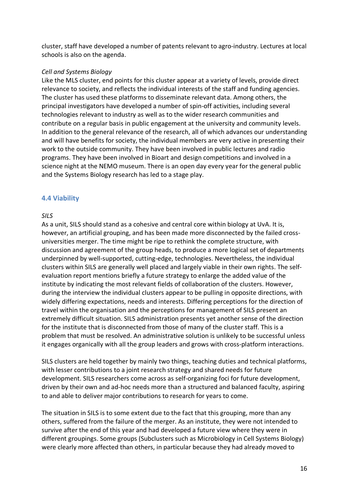cluster, staff have developed a number of patents relevant to agro-industry. Lectures at local schools is also on the agenda.

#### *Cell and Systems Biology*

Like the MLS cluster, end points for this cluster appear at a variety of levels, provide direct relevance to society, and reflects the individual interests of the staff and funding agencies. The cluster has used these platforms to disseminate relevant data. Among others, the principal investigators have developed a number of spin-off activities, including several technologies relevant to industry as well as to the wider research communities and contribute on a regular basis in public engagement at the university and community levels. In addition to the general relevance of the research, all of which advances our understanding and will have benefits for society, the individual members are very active in presenting their work to the outside community. They have been involved in public lectures and radio programs. They have been involved in Bioart and design competitions and involved in a science night at the NEMO museum. There is an open day every year for the general public and the Systems Biology research has led to a stage play.

## **4.4 Viability**

#### *SILS*

As a unit, SILS should stand as a cohesive and central core within biology at UvA. It is, however, an artificial grouping, and has been made more disconnected by the failed crossuniversities merger. The time might be ripe to rethink the complete structure, with discussion and agreement of the group heads, to produce a more logical set of departments underpinned by well-supported, cutting-edge, technologies. Nevertheless, the individual clusters within SILS are generally well placed and largely viable in their own rights. The selfevaluation report mentions briefly a future strategy to enlarge the added value of the institute by indicating the most relevant fields of collaboration of the clusters. However, during the interview the individual clusters appear to be pulling in opposite directions, with widely differing expectations, needs and interests. Differing perceptions for the direction of travel within the organisation and the perceptions for management of SILS present an extremely difficult situation. SILS administration presents yet another sense of the direction for the institute that is disconnected from those of many of the cluster staff. This is a problem that must be resolved. An administrative solution is unlikely to be successful unless it engages organically with all the group leaders and grows with cross-platform interactions.

SILS clusters are held together by mainly two things, teaching duties and technical platforms, with lesser contributions to a joint research strategy and shared needs for future development. SILS researchers come across as self-organizing foci for future development, driven by their own and ad-hoc needs more than a structured and balanced faculty, aspiring to and able to deliver major contributions to research for years to come.

The situation in SILS is to some extent due to the fact that this grouping, more than any others, suffered from the failure of the merger. As an institute, they were not intended to survive after the end of this year and had developed a future view where they were in different groupings. Some groups (Subclusters such as Microbiology in Cell Systems Biology) were clearly more affected than others, in particular because they had already moved to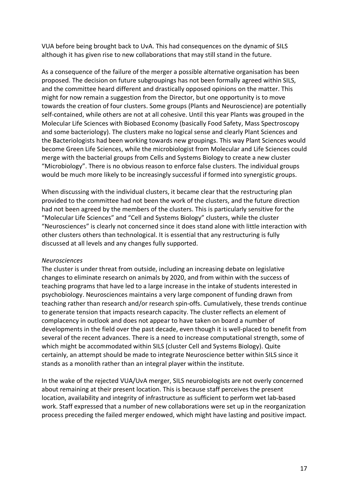VUA before being brought back to UvA. This had consequences on the dynamic of SILS although it has given rise to new collaborations that may still stand in the future.

As a consequence of the failure of the merger a possible alternative organisation has been proposed. The decision on future subgroupings has not been formally agreed within SILS, and the committee heard different and drastically opposed opinions on the matter. This might for now remain a suggestion from the Director, but one opportunity is to move towards the creation of four clusters. Some groups (Plants and Neuroscience) are potentially self-contained, while others are not at all cohesive. Until this year Plants was grouped in the Molecular Life Sciences with Biobased Economy (basically Food Safety, Mass Spectroscopy and some bacteriology). The clusters make no logical sense and clearly Plant Sciences and the Bacteriologists had been working towards new groupings. This way Plant Sciences would become Green Life Sciences, while the microbiologist from Molecular and Life Sciences could merge with the bacterial groups from Cells and Systems Biology to create a new cluster "Microbiology". There is no obvious reason to enforce false clusters. The individual groups would be much more likely to be increasingly successful if formed into synergistic groups.

When discussing with the individual clusters, it became clear that the restructuring plan provided to the committee had not been the work of the clusters, and the future direction had not been agreed by the members of the clusters. This is particularly sensitive for the "Molecular Life Sciences" and "Cell and Systems Biology" clusters, while the cluster "Neurosciences" is clearly not concerned since it does stand alone with little interaction with other clusters others than technological. It is essential that any restructuring is fully discussed at all levels and any changes fully supported.

#### *Neurosciences*

The cluster is under threat from outside, including an increasing debate on legislative changes to eliminate research on animals by 2020, and from within with the success of teaching programs that have led to a large increase in the intake of students interested in psychobiology. Neurosciences maintains a very large component of funding drawn from teaching rather than research and/or research spin-offs. Cumulatively, these trends continue to generate tension that impacts research capacity. The cluster reflects an element of complacency in outlook and does not appear to have taken on board a number of developments in the field over the past decade, even though it is well-placed to benefit from several of the recent advances. There is a need to increase computational strength, some of which might be accommodated within SILS (cluster Cell and Systems Biology). Quite certainly, an attempt should be made to integrate Neuroscience better within SILS since it stands as a monolith rather than an integral player within the institute.

In the wake of the rejected VUA/UvA merger, SILS neurobiologists are not overly concerned about remaining at their present location. This is because staff perceives the present location, availability and integrity of infrastructure as sufficient to perform wet lab-based work. Staff expressed that a number of new collaborations were set up in the reorganization process preceding the failed merger endowed, which might have lasting and positive impact.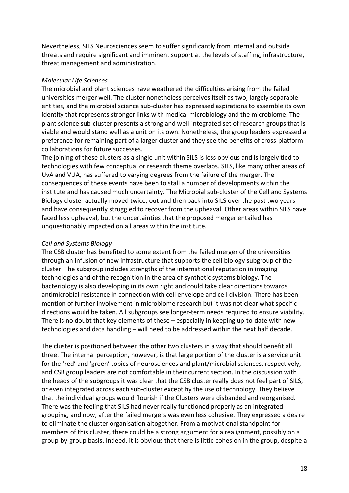Nevertheless, SILS Neurosciences seem to suffer significantly from internal and outside threats and require significant and imminent support at the levels of staffing, infrastructure, threat management and administration.

#### *Molecular Life Sciences*

The microbial and plant sciences have weathered the difficulties arising from the failed universities merger well. The cluster nonetheless perceives itself as two, largely separable entities, and the microbial science sub-cluster has expressed aspirations to assemble its own identity that represents stronger links with medical microbiology and the microbiome. The plant science sub-cluster presents a strong and well-integrated set of research groups that is viable and would stand well as a unit on its own. Nonetheless, the group leaders expressed a preference for remaining part of a larger cluster and they see the benefits of cross-platform collaborations for future successes.

The joining of these clusters as a single unit within SILS is less obvious and is largely tied to technologies with few conceptual or research theme overlaps. SILS, like many other areas of UvA and VUA, has suffered to varying degrees from the failure of the merger. The consequences of these events have been to stall a number of developments within the institute and has caused much uncertainty. The Microbial sub-cluster of the Cell and Systems Biology cluster actually moved twice, out and then back into SILS over the past two years and have consequently struggled to recover from the upheaval. Other areas within SILS have faced less upheaval, but the uncertainties that the proposed merger entailed has unquestionably impacted on all areas within the institute.

#### *Cell and Systems Biology*

The CSB cluster has benefited to some extent from the failed merger of the universities through an infusion of new infrastructure that supports the cell biology subgroup of the cluster. The subgroup includes strengths of the international reputation in imaging technologies and of the recognition in the area of synthetic systems biology. The bacteriology is also developing in its own right and could take clear directions towards antimicrobial resistance in connection with cell envelope and cell division. There has been mention of further involvement in microbiome research but it was not clear what specific directions would be taken. All subgroups see longer-term needs required to ensure viability. There is no doubt that key elements of these – especially in keeping up-to-date with new technologies and data handling – will need to be addressed within the next half decade.

The cluster is positioned between the other two clusters in a way that should benefit all three. The internal perception, however, is that large portion of the cluster is a service unit for the 'red' and 'green' topics of neurosciences and plant/microbial sciences, respectively, and CSB group leaders are not comfortable in their current section. In the discussion with the heads of the subgroups it was clear that the CSB cluster really does not feel part of SILS, or even integrated across each sub-cluster except by the use of technology. They believe that the individual groups would flourish if the Clusters were disbanded and reorganised. There was the feeling that SILS had never really functioned properly as an integrated grouping, and now, after the failed mergers was even less cohesive. They expressed a desire to eliminate the cluster organisation altogether. From a motivational standpoint for members of this cluster, there could be a strong argument for a realignment, possibly on a group-by-group basis. Indeed, it is obvious that there is little cohesion in the group, despite a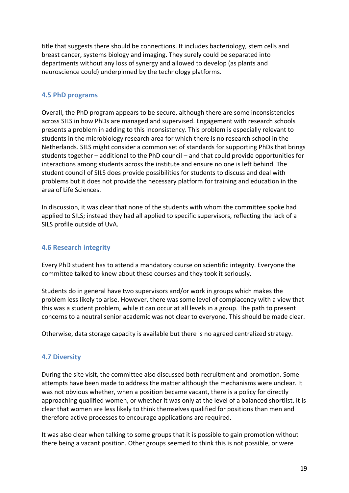title that suggests there should be connections. It includes bacteriology, stem cells and breast cancer, systems biology and imaging. They surely could be separated into departments without any loss of synergy and allowed to develop (as plants and neuroscience could) underpinned by the technology platforms.

## **4.5 PhD programs**

Overall, the PhD program appears to be secure, although there are some inconsistencies across SILS in how PhDs are managed and supervised. Engagement with research schools presents a problem in adding to this inconsistency. This problem is especially relevant to students in the microbiology research area for which there is no research school in the Netherlands. SILS might consider a common set of standards for supporting PhDs that brings students together – additional to the PhD council – and that could provide opportunities for interactions among students across the institute and ensure no one is left behind. The student council of SILS does provide possibilities for students to discuss and deal with problems but it does not provide the necessary platform for training and education in the area of Life Sciences.

In discussion, it was clear that none of the students with whom the committee spoke had applied to SILS; instead they had all applied to specific supervisors, reflecting the lack of a SILS profile outside of UvA.

## **4.6 Research integrity**

Every PhD student has to attend a mandatory course on scientific integrity. Everyone the committee talked to knew about these courses and they took it seriously.

Students do in general have two supervisors and/or work in groups which makes the problem less likely to arise. However, there was some level of complacency with a view that this was a student problem, while it can occur at all levels in a group. The path to present concerns to a neutral senior academic was not clear to everyone. This should be made clear.

Otherwise, data storage capacity is available but there is no agreed centralized strategy.

# **4.7 Diversity**

During the site visit, the committee also discussed both recruitment and promotion. Some attempts have been made to address the matter although the mechanisms were unclear. It was not obvious whether, when a position became vacant, there is a policy for directly approaching qualified women, or whether it was only at the level of a balanced shortlist. It is clear that women are less likely to think themselves qualified for positions than men and therefore active processes to encourage applications are required.

It was also clear when talking to some groups that it is possible to gain promotion without there being a vacant position. Other groups seemed to think this is not possible, or were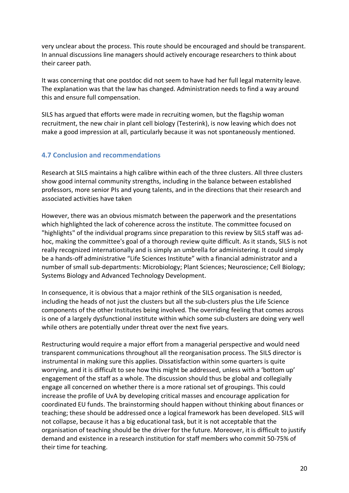very unclear about the process. This route should be encouraged and should be transparent. In annual discussions line managers should actively encourage researchers to think about their career path.

It was concerning that one postdoc did not seem to have had her full legal maternity leave. The explanation was that the law has changed. Administration needs to find a way around this and ensure full compensation.

SILS has argued that efforts were made in recruiting women, but the flagship woman recruitment, the new chair in plant cell biology (Testerink), is now leaving which does not make a good impression at all, particularly because it was not spontaneously mentioned.

# **4.7 Conclusion and recommendations**

Research at SILS maintains a high calibre within each of the three clusters. All three clusters show good internal community strengths, including in the balance between established professors, more senior PIs and young talents, and in the directions that their research and associated activities have taken

However, there was an obvious mismatch between the paperwork and the presentations which highlighted the lack of coherence across the institute. The committee focused on "highlights" of the individual programs since preparation to this review by SILS staff was adhoc, making the committee's goal of a thorough review quite difficult. As it stands, SILS is not really recognized internationally and is simply an umbrella for administering. It could simply be a hands-off administrative "Life Sciences Institute" with a financial administrator and a number of small sub-departments: Microbiology; Plant Sciences; Neuroscience; Cell Biology; Systems Biology and Advanced Technology Development.

In consequence, it is obvious that a major rethink of the SILS organisation is needed, including the heads of not just the clusters but all the sub-clusters plus the Life Science components of the other Institutes being involved. The overriding feeling that comes across is one of a largely dysfunctional institute within which some sub-clusters are doing very well while others are potentially under threat over the next five years.

Restructuring would require a major effort from a managerial perspective and would need transparent communications throughout all the reorganisation process. The SILS director is instrumental in making sure this applies. Dissatisfaction within some quarters is quite worrying, and it is difficult to see how this might be addressed, unless with a 'bottom up' engagement of the staff as a whole. The discussion should thus be global and collegially engage all concerned on whether there is a more rational set of groupings. This could increase the profile of UvA by developing critical masses and encourage application for coordinated EU funds. The brainstorming should happen without thinking about finances or teaching; these should be addressed once a logical framework has been developed. SILS will not collapse, because it has a big educational task, but it is not acceptable that the organisation of teaching should be the driver for the future. Moreover, it is difficult to justify demand and existence in a research institution for staff members who commit 50-75% of their time for teaching.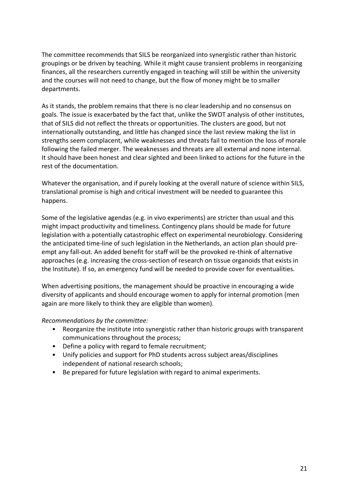The committee recommends that SILS be reorganized into synergistic rather than historic groupings or be driven by teaching. While it might cause transient problems in reorganizing finances, all the researchers currently engaged in teaching will still be within the university and the courses will not need to change, but the flow of money might be to smaller departments.

As it stands, the problem remains that there is no clear leadership and no consensus on goals. The issue is exacerbated by the fact that, unlike the SWOT analysis of other institutes, that of SILS did not reflect the threats or opportunities. The clusters are good, but not internationally outstanding, and little has changed since the last review making the list in strengths seem complacent, while weaknesses and threats fail to mention the loss of morale following the failed merger. The weaknesses and threats are all external and none internal. It should have been honest and clear sighted and been linked to actions for the future in the rest of the documentation.

Whatever the organisation, and if purely looking at the overall nature of science within SILS, translational promise is high and critical investment will be needed to guarantee this happens.

Some of the legislative agendas (e.g. in vivo experiments) are stricter than usual and this might impact productivity and timeliness. Contingency plans should be made for future legislation with a potentially catastrophic effect on experimental neurobiology. Considering the anticipated time-line of such legislation in the Netherlands, an action plan should preempt any fall-out. An added benefit for staff will be the provoked re-think of alternative approaches (e.g. increasing the cross-section of research on tissue organoids that exists in the Institute). If so, an emergency fund will be needed to provide cover for eventualities.

When advertising positions, the management should be proactive in encouraging a wide diversity of applicants and should encourage women to apply for internal promotion (men again are more likely to think they are eligible than women).

#### *Recommendations by the committee:*

- Reorganize the institute into synergistic rather than historic groups with transparent communications throughout the process;
- Define a policy with regard to female recruitment;
- Unify policies and support for PhD students across subject areas/disciplines independent of national research schools;
- Be prepared for future legislation with regard to animal experiments.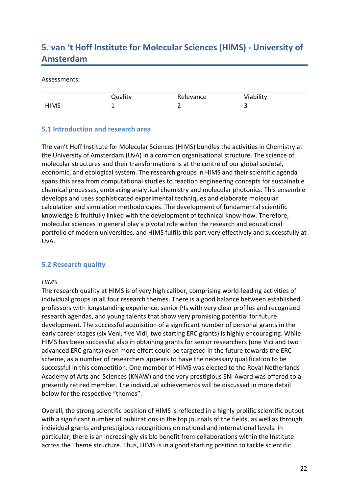# **5. van 't Hoff Institute for Molecular Sciences (HIMS) - University of Amsterdam**

#### Assessments:

|             | <b>Quality</b> | Relevance | Viability |
|-------------|----------------|-----------|-----------|
| <b>HIMS</b> |                | -         |           |

## **5.1 Introduction and research area**

The van't Hoff Institute for Molecular Sciences (HIMS) bundles the activities in Chemistry at the University of Amsterdam (UvA) in a common organisational structure. The science of molecular structures and their transformations is at the centre of our global societal, economic, and ecological system. The research groups in HIMS and their scientific agenda spans this area from computational studies to reaction engineering concepts for sustainable chemical processes, embracing analytical chemistry and molecular photonics. This ensemble develops and uses sophisticated experimental techniques and elaborate molecular calculation and simulation methodologies. The development of fundamental scientific knowledge is fruitfully linked with the development of technical know-how. Therefore, molecular sciences in general play a pivotal role within the research and educational portfolio of modern universities, and HIMS fulfils this part very effectively and successfully at UvA.

#### **5.2 Research quality**

#### *HIMS*

The research quality at HIMS is of very high caliber, comprising world-leading activities of individual groups in all four research themes. There is a good balance between established professors with longstanding experience, senior PIs with very clear profiles and recognized research agendas, and young talents that show very promising potential for future development. The successful acquisition of a significant number of personal grants in the early career stages (six Veni, five Vidi, two starting ERC grants) is highly encouraging. While HIMS has been successful also in obtaining grants for senior researchers (one Vici and two advanced ERC grants) even more effort could be targeted in the future towards the ERC scheme, as a number of researchers appears to have the necessary qualification to be successful in this competition. One member of HIMS was elected to the Royal Netherlands Academy of Arts and Sciences (KNAW) and the very prestigious ENI Award was offered to a presently retired member. The individual achievements will be discussed in more detail below for the respective "themes".

Overall, the strong scientific position of HIMS is reflected in a highly prolific scientific output with a significant number of publications in the top journals of the fields, as well as through individual grants and prestigious recognitions on national and international levels. In particular, there is an increasingly visible benefit from collaborations within the Institute across the Theme structure. Thus, HIMS is in a good starting position to tackle scientific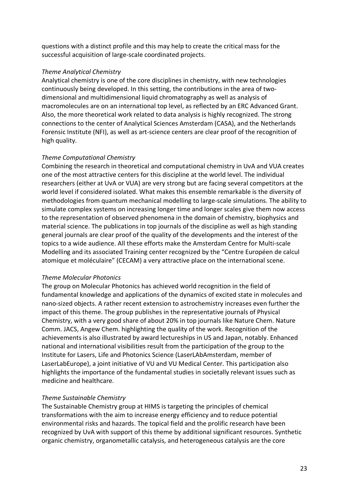questions with a distinct profile and this may help to create the critical mass for the successful acquisition of large-scale coordinated projects.

## *Theme Analytical Chemistry*

Analytical chemistry is one of the core disciplines in chemistry, with new technologies continuously being developed. In this setting, the contributions in the area of twodimensional and multidimensional liquid chromatography as well as analysis of macromolecules are on an international top level, as reflected by an ERC Advanced Grant. Also, the more theoretical work related to data analysis is highly recognized. The strong connections to the center of Analytical Sciences Amsterdam (CASA), and the Netherlands Forensic Institute (NFI), as well as art-science centers are clear proof of the recognition of high quality.

# *Theme Computational Chemistry*

Combining the research in theoretical and computational chemistry in UvA and VUA creates one of the most attractive centers for this discipline at the world level. The individual researchers (either at UvA or VUA) are very strong but are facing several competitors at the world level if considered isolated. What makes this ensemble remarkable is the diversity of methodologies from quantum mechanical modelling to large-scale simulations. The ability to simulate complex systems on increasing longer time and longer scales give them now access to the representation of observed phenomena in the domain of chemistry, biophysics and material science. The publications in top journals of the discipline as well as high standing general journals are clear proof of the quality of the developments and the interest of the topics to a wide audience. All these efforts make the Amsterdam Centre for Multi-scale Modelling and its associated Training center recognized by the "Centre Européen de calcul atomique et moléculaire" (CECAM) a very attractive place on the international scene.

# *Theme Molecular Photonics*

The group on Molecular Photonics has achieved world recognition in the field of fundamental knowledge and applications of the dynamics of excited state in molecules and nano-sized objects. A rather recent extension to astrochemistry increases even further the impact of this theme. The group publishes in the representative journals of Physical Chemistry, with a very good share of about 20% in top journals like Nature Chem. Nature Comm. JACS, Angew Chem. highlighting the quality of the work. Recognition of the achievements is also illustrated by award lectureships in US and Japan, notably. Enhanced national and international visibilities result from the participation of the group to the Institute for Lasers, Life and Photonics Science (LaserLAbAmsterdam, member of LaserLabEurope), a joint initiative of VU and VU Medical Center. This participation also highlights the importance of the fundamental studies in societally relevant issues such as medicine and healthcare.

# *Theme Sustainable Chemistry*

The Sustainable Chemistry group at HIMS is targeting the principles of chemical transformations with the aim to increase energy efficiency and to reduce potential environmental risks and hazards. The topical field and the prolific research have been recognized by UvA with support of this theme by additional significant resources. Synthetic organic chemistry, organometallic catalysis, and heterogeneous catalysis are the core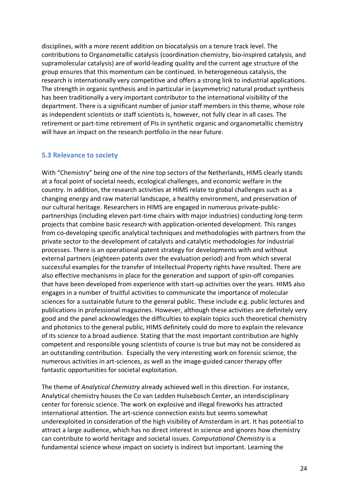disciplines, with a more recent addition on biocatalysis on a tenure track level. The contributions to Organometallic catalysis (coordination chemistry, bio-inspired catalysis, and supramolecular catalysis) are of world-leading quality and the current age structure of the group ensures that this momentum can be continued. In heterogeneous catalysis, the research is internationally very competitive and offers a strong link to industrial applications. The strength in organic synthesis and in particular in (asymmetric) natural product synthesis has been traditionally a very important contributor to the international visibility of the department. There is a significant number of junior staff members in this theme, whose role as independent scientists or staff scientists is, however, not fully clear in all cases. The retirement or part-time retirement of PIs in synthetic organic and organometallic chemistry will have an impact on the research portfolio in the near future.

#### **5.3 Relevance to society**

With "Chemistry" being one of the nine top sectors of the Netherlands, HIMS clearly stands at a focal point of societal needs, ecological challenges, and economic welfare in the country. In addition, the research activities at HIMS relate to global challenges such as a changing energy and raw material landscape, a healthy environment, and preservation of our cultural heritage. Researchers in HIMS are engaged in numerous private-publicpartnerships (including eleven part-time chairs with major industries) conducting long-term projects that combine basic research with application-oriented development. This ranges from co-developing specific analytical techniques and methodologies with partners from the private sector to the development of catalysts and catalytic methodologies for industrial processes. There is an operational patent strategy for developments with and without external partners (eighteen patents over the evaluation period) and from which several successful examples for the transfer of Intellectual Property rights have resulted. There are also effective mechanisms in place for the generation and support of spin-off companies that have been developed from experience with start-up activities over the years. HIMS also engages in a number of fruitful activities to communicate the importance of molecular sciences for a sustainable future to the general public. These include e.g. public lectures and publications in professional magazines. However, although these activities are definitely very good and the panel acknowledges the difficulties to explain topics such theoretical chemistry and photonics to the general public, HIMS definitely could do more to explain the relevance of its science to a broad audience. Stating that the most important contribution are highly competent and responsible young scientists of course is true but may not be considered as an outstanding contribution. Especially the very interesting work on forensic science, the numerous activities in art-sciences, as well as the image-guided cancer therapy offer fantastic opportunities for societal exploitation.

The theme of *Analytical Chemistry* already achieved well in this direction. For instance, Analytical chemistry houses the Co van Ledden Hulsebosch Center, an interdisciplinary center for forensic science. The work on explosive and illegal fireworks has attracted international attention. The art-science connection exists but seems somewhat underexploited in consideration of the high visibility of Amsterdam in art. It has potential to attract a large audience, which has no direct interest in science and ignores how chemistry can contribute to world heritage and societal issues. *Computational Chemistry* is a fundamental science whose impact on society is indirect but important. Learning the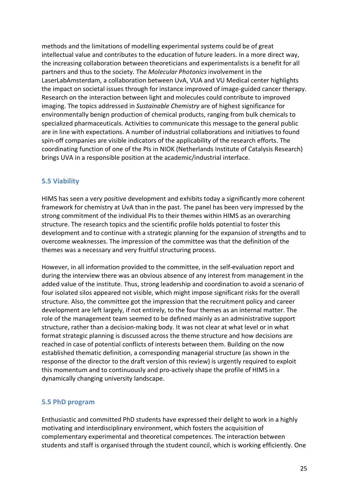methods and the limitations of modelling experimental systems could be of great intellectual value and contributes to the education of future leaders. In a more direct way, the increasing collaboration between theoreticians and experimentalists is a benefit for all partners and thus to the society. The *Molecular Photonics* involvement in the LaserLabAmsterdam, a collaboration between UvA, VUA and VU Medical center highlights the impact on societal issues through for instance improved of image-guided cancer therapy. Research on the interaction between light and molecules could contribute to improved imaging. The topics addressed in *Sustainable Chemistry* are of highest significance for environmentally benign production of chemical products, ranging from bulk chemicals to specialized pharmaceuticals. Activities to communicate this message to the general public are in line with expectations. A number of industrial collaborations and initiatives to found spin-off companies are visible indicators of the applicability of the research efforts. The coordinating function of one of the PIs in NIOK (Netherlands Institute of Catalysis Research) brings UVA in a responsible position at the academic/industrial interface.

## **5.5 Viability**

HIMS has seen a very positive development and exhibits today a significantly more coherent framework for chemistry at UvA than in the past. The panel has been very impressed by the strong commitment of the individual PIs to their themes within HIMS as an overarching structure. The research topics and the scientific profile holds potential to foster this development and to continue with a strategic planning for the expansion of strengths and to overcome weaknesses. The impression of the committee was that the definition of the themes was a necessary and very fruitful structuring process.

However, in all information provided to the committee, in the self-evaluation report and during the interview there was an obvious absence of any interest from management in the added value of the institute. Thus, strong leadership and coordination to avoid a scenario of four isolated silos appeared not visible, which might impose significant risks for the overall structure. Also, the committee got the impression that the recruitment policy and career development are left largely, if not entirely, to the four themes as an internal matter. The role of the management team seemed to be defined mainly as an administrative support structure, rather than a decision-making body. It was not clear at what level or in what format strategic planning is discussed across the theme structure and how decisions are reached in case of potential conflicts of interests between them. Building on the now established thematic definition, a corresponding managerial structure (as shown in the response of the director to the draft version of this review) is urgently required to exploit this momentum and to continuously and pro-actively shape the profile of HIMS in a dynamically changing university landscape.

#### **5.5 PhD program**

Enthusiastic and committed PhD students have expressed their delight to work in a highly motivating and interdisciplinary environment, which fosters the acquisition of complementary experimental and theoretical competences. The interaction between students and staff is organised through the student council, which is working efficiently. One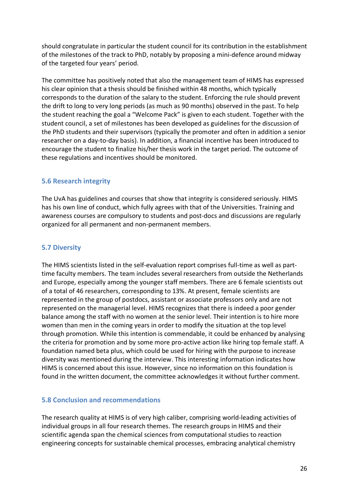should congratulate in particular the student council for its contribution in the establishment of the milestones of the track to PhD, notably by proposing a mini-defence around midway of the targeted four years' period.

The committee has positively noted that also the management team of HIMS has expressed his clear opinion that a thesis should be finished within 48 months, which typically corresponds to the duration of the salary to the student. Enforcing the rule should prevent the drift to long to very long periods (as much as 90 months) observed in the past. To help the student reaching the goal a "Welcome Pack" is given to each student. Together with the student council, a set of milestones has been developed as guidelines for the discussion of the PhD students and their supervisors (typically the promoter and often in addition a senior researcher on a day-to-day basis). In addition, a financial incentive has been introduced to encourage the student to finalize his/her thesis work in the target period. The outcome of these regulations and incentives should be monitored.

# **5.6 Research integrity**

The UvA has guidelines and courses that show that integrity is considered seriously. HIMS has his own line of conduct, which fully agrees with that of the Universities. Training and awareness courses are compulsory to students and post-docs and discussions are regularly organized for all permanent and non-permanent members.

# **5.7 Diversity**

The HIMS scientists listed in the self-evaluation report comprises full-time as well as parttime faculty members. The team includes several researchers from outside the Netherlands and Europe, especially among the younger staff members. There are 6 female scientists out of a total of 46 researchers, corresponding to 13%. At present, female scientists are represented in the group of postdocs, assistant or associate professors only and are not represented on the managerial level. HIMS recognizes that there is indeed a poor gender balance among the staff with no women at the senior level. Their intention is to hire more women than men in the coming years in order to modify the situation at the top level through promotion. While this intention is commendable, it could be enhanced by analysing the criteria for promotion and by some more pro-active action like hiring top female staff. A foundation named beta plus, which could be used for hiring with the purpose to increase diversity was mentioned during the interview. This interesting information indicates how HIMS is concerned about this issue. However, since no information on this foundation is found in the written document, the committee acknowledges it without further comment.

# **5.8 Conclusion and recommendations**

The research quality at HIMS is of very high caliber, comprising world-leading activities of individual groups in all four research themes. The research groups in HIMS and their scientific agenda span the chemical sciences from computational studies to reaction engineering concepts for sustainable chemical processes, embracing analytical chemistry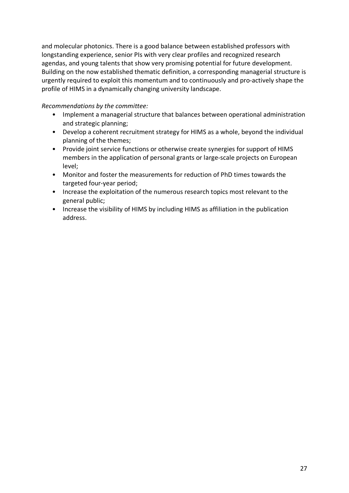and molecular photonics. There is a good balance between established professors with longstanding experience, senior PIs with very clear profiles and recognized research agendas, and young talents that show very promising potential for future development. Building on the now established thematic definition, a corresponding managerial structure is urgently required to exploit this momentum and to continuously and pro-actively shape the profile of HIMS in a dynamically changing university landscape.

#### *Recommendations by the committee:*

- Implement a managerial structure that balances between operational administration and strategic planning;
- Develop a coherent recruitment strategy for HIMS as a whole, beyond the individual planning of the themes;
- Provide joint service functions or otherwise create synergies for support of HIMS members in the application of personal grants or large-scale projects on European level;
- Monitor and foster the measurements for reduction of PhD times towards the targeted four-year period;
- Increase the exploitation of the numerous research topics most relevant to the general public;
- Increase the visibility of HIMS by including HIMS as affiliation in the publication address.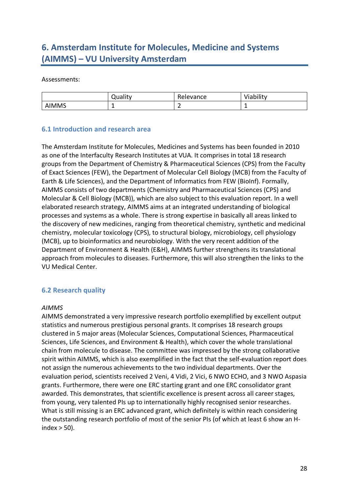# **6. Amsterdam Institute for Molecules, Medicine and Systems (AIMMS) – VU University Amsterdam**

#### Assessments:

|              | <b>Quality</b> | Relevance | Viability |
|--------------|----------------|-----------|-----------|
| <b>AIMMS</b> | -              | -         | -         |

#### **6.1 Introduction and research area**

The Amsterdam Institute for Molecules, Medicines and Systems has been founded in 2010 as one of the Interfaculty Research Institutes at VUA. It comprises in total 18 research groups from the Department of Chemistry & Pharmaceutical Sciences (CPS) from the Faculty of Exact Sciences (FEW), the Department of Molecular Cell Biology (MCB) from the Faculty of Earth & Life Sciences), and the Department of Informatics from FEW (BioInf). Formally, AIMMS consists of two departments (Chemistry and Pharmaceutical Sciences (CPS) and Molecular & Cell Biology (MCB)), which are also subject to this evaluation report. In a well elaborated research strategy, AIMMS aims at an integrated understanding of biological processes and systems as a whole. There is strong expertise in basically all areas linked to the discovery of new medicines, ranging from theoretical chemistry, synthetic and medicinal chemistry, molecular toxicology (CPS), to structural biology, microbiology, cell physiology (MCB), up to bioinformatics and neurobiology. With the very recent addition of the Department of Environment & Health (E&H), AIMMS further strengthens its translational approach from molecules to diseases. Furthermore, this will also strengthen the links to the VU Medical Center.

# **6.2 Research quality**

#### *AIMMS*

AIMMS demonstrated a very impressive research portfolio exemplified by excellent output statistics and numerous prestigious personal grants. It comprises 18 research groups clustered in 5 major areas (Molecular Sciences, Computational Sciences, Pharmaceutical Sciences, Life Sciences, and Environment & Health), which cover the whole translational chain from molecule to disease. The committee was impressed by the strong collaborative spirit within AIMMS, which is also exemplified in the fact that the self-evaluation report does not assign the numerous achievements to the two individual departments. Over the evaluation period, scientists received 2 Veni, 4 Vidi, 2 Vici, 6 NWO ECHO, and 3 NWO Aspasia grants. Furthermore, there were one ERC starting grant and one ERC consolidator grant awarded. This demonstrates, that scientific excellence is present across all career stages, from young, very talented PIs up to internationally highly recognised senior researches. What is still missing is an ERC advanced grant, which definitely is within reach considering the outstanding research portfolio of most of the senior PIs (of which at least 6 show an Hindex  $>$  50).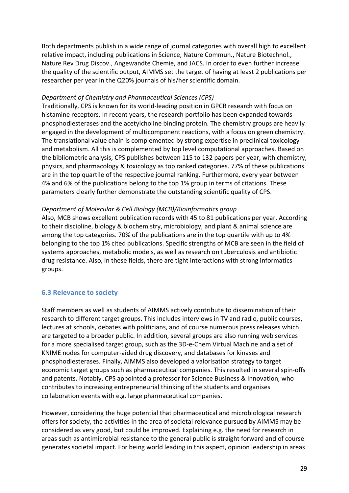Both departments publish in a wide range of journal categories with overall high to excellent relative impact, including publications in Science, Nature Commun., Nature Biotechnol., Nature Rev Drug Discov., Angewandte Chemie, and JACS. In order to even further increase the quality of the scientific output, AIMMS set the target of having at least 2 publications per researcher per year in the Q20% journals of his/her scientific domain.

#### *Department of Chemistry and Pharmaceutical Sciences (CPS)*

Traditionally, CPS is known for its world-leading position in GPCR research with focus on histamine receptors. In recent years, the research portfolio has been expanded towards phosphodiesterases and the acetylcholine binding protein. The chemistry groups are heavily engaged in the development of multicomponent reactions, with a focus on green chemistry. The translational value chain is complemented by strong expertise in preclinical toxicology and metabolism. All this is complemented by top level computational approaches. Based on the bibliometric analysis, CPS publishes between 115 to 132 papers per year, with chemistry, physics, and pharmacology & toxicology as top ranked categories. 77% of these publications are in the top quartile of the respective journal ranking. Furthermore, every year between 4% and 6% of the publications belong to the top 1% group in terms of citations. These parameters clearly further demonstrate the outstanding scientific quality of CPS.

#### *Department of Molecular & Cell Biology (MCB)/Bioinformatics group*

Also, MCB shows excellent publication records with 45 to 81 publications per year. According to their discipline, biology & biochemistry, microbiology, and plant & animal science are among the top categories. 70% of the publications are in the top quartile with up to 4% belonging to the top 1% cited publications. Specific strengths of MCB are seen in the field of systems approaches, metabolic models, as well as research on tuberculosis and antibiotic drug resistance. Also, in these fields, there are tight interactions with strong informatics groups.

# **6.3 Relevance to society**

Staff members as well as students of AIMMS actively contribute to dissemination of their research to different target groups. This includes interviews in TV and radio, public courses, lectures at schools, debates with politicians, and of course numerous press releases which are targeted to a broader public. In addition, several groups are also running web services for a more specialised target group, such as the 3D-e-Chem Virtual Machine and a set of KNIME nodes for computer-aided drug discovery, and databases for kinases and phosphodiesterases. Finally, AIMMS also developed a valorisation strategy to target economic target groups such as pharmaceutical companies. This resulted in several spin-offs and patents. Notably, CPS appointed a professor for Science Business & Innovation, who contributes to increasing entrepreneurial thinking of the students and organises collaboration events with e.g. large pharmaceutical companies.

However, considering the huge potential that pharmaceutical and microbiological research offers for society, the activities in the area of societal relevance pursued by AIMMS may be considered as very good, but could be improved. Explaining e.g. the need for research in areas such as antimicrobial resistance to the general public is straight forward and of course generates societal impact. For being world leading in this aspect, opinion leadership in areas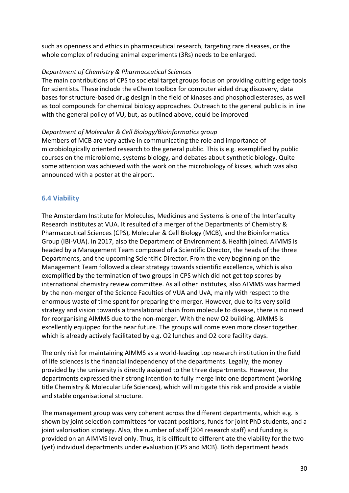such as openness and ethics in pharmaceutical research, targeting rare diseases, or the whole complex of reducing animal experiments (3Rs) needs to be enlarged.

## *Department of Chemistry & Pharmaceutical Sciences*

The main contributions of CPS to societal target groups focus on providing cutting edge tools for scientists. These include the eChem toolbox for computer aided drug discovery, data bases for structure-based drug design in the field of kinases and phosphodiesterases, as well as tool compounds for chemical biology approaches. Outreach to the general public is in line with the general policy of VU, but, as outlined above, could be improved

#### *Department of Molecular & Cell Biology/Bioinformatics group*

Members of MCB are very active in communicating the role and importance of microbiologically oriented research to the general public. This is e.g. exemplified by public courses on the microbiome, systems biology, and debates about synthetic biology. Quite some attention was achieved with the work on the microbiology of kisses, which was also announced with a poster at the airport.

# **6.4 Viability**

The Amsterdam Institute for Molecules, Medicines and Systems is one of the Interfaculty Research Institutes at VUA. It resulted of a merger of the Departments of Chemistry & Pharmaceutical Sciences (CPS), Molecular & Cell Biology (MCB), and the Bioinformatics Group (IBI-VUA). In 2017, also the Department of Environment & Health joined. AIMMS is headed by a Management Team composed of a Scientific Director, the heads of the three Departments, and the upcoming Scientific Director. From the very beginning on the Management Team followed a clear strategy towards scientific excellence, which is also exemplified by the termination of two groups in CPS which did not get top scores by international chemistry review committee. As all other institutes, also AIMMS was harmed by the non-merger of the Science Faculties of VUA and UvA, mainly with respect to the enormous waste of time spent for preparing the merger. However, due to its very solid strategy and vision towards a translational chain from molecule to disease, there is no need for reorganising AIMMS due to the non-merger. With the new O2 building, AIMMS is excellently equipped for the near future. The groups will come even more closer together, which is already actively facilitated by e.g. O2 lunches and O2 core facility days.

The only risk for maintaining AIMMS as a world-leading top research institution in the field of life sciences is the financial independency of the departments. Legally, the money provided by the university is directly assigned to the three departments. However, the departments expressed their strong intention to fully merge into one department (working title Chemistry & Molecular Life Sciences), which will mitigate this risk and provide a viable and stable organisational structure.

The management group was very coherent across the different departments, which e.g. is shown by joint selection committees for vacant positions, funds for joint PhD students, and a joint valorisation strategy. Also, the number of staff (204 research staff) and funding is provided on an AIMMS level only. Thus, it is difficult to differentiate the viability for the two (yet) individual departments under evaluation (CPS and MCB). Both department heads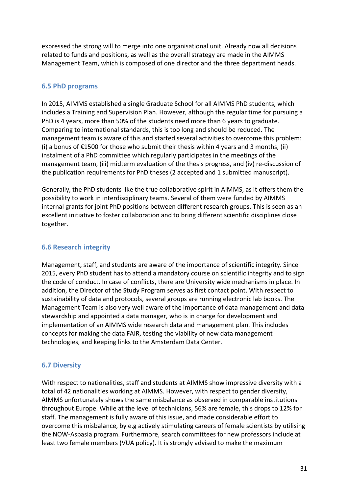expressed the strong will to merge into one organisational unit. Already now all decisions related to funds and positions, as well as the overall strategy are made in the AIMMS Management Team, which is composed of one director and the three department heads.

# **6.5 PhD programs**

In 2015, AIMMS established a single Graduate School for all AIMMS PhD students, which includes a Training and Supervision Plan. However, although the regular time for pursuing a PhD is 4 years, more than 50% of the students need more than 6 years to graduate. Comparing to international standards, this is too long and should be reduced. The management team is aware of this and started several activities to overcome this problem: (i) a bonus of €1500 for those who submit their thesis within 4 years and 3 months, (ii) instalment of a PhD committee which regularly participates in the meetings of the management team, (iii) midterm evaluation of the thesis progress, and (iv) re-discussion of the publication requirements for PhD theses (2 accepted and 1 submitted manuscript).

Generally, the PhD students like the true collaborative spirit in AIMMS, as it offers them the possibility to work in interdisciplinary teams. Several of them were funded by AIMMS internal grants for joint PhD positions between different research groups. This is seen as an excellent initiative to foster collaboration and to bring different scientific disciplines close together.

## **6.6 Research integrity**

Management, staff, and students are aware of the importance of scientific integrity. Since 2015, every PhD student has to attend a mandatory course on scientific integrity and to sign the code of conduct. In case of conflicts, there are University wide mechanisms in place. In addition, the Director of the Study Program serves as first contact point. With respect to sustainability of data and protocols, several groups are running electronic lab books. The Management Team is also very well aware of the importance of data management and data stewardship and appointed a data manager, who is in charge for development and implementation of an AIMMS wide research data and management plan. This includes concepts for making the data FAIR, testing the viability of new data management technologies, and keeping links to the Amsterdam Data Center.

# **6.7 Diversity**

With respect to nationalities, staff and students at AIMMS show impressive diversity with a total of 42 nationalities working at AIMMS. However, with respect to gender diversity, AIMMS unfortunately shows the same misbalance as observed in comparable institutions throughout Europe. While at the level of technicians, 56% are female, this drops to 12% for staff. The management is fully aware of this issue, and made considerable effort to overcome this misbalance, by e.g actively stimulating careers of female scientists by utilising the NOW-Aspasia program. Furthermore, search committees for new professors include at least two female members (VUA policy). It is strongly advised to make the maximum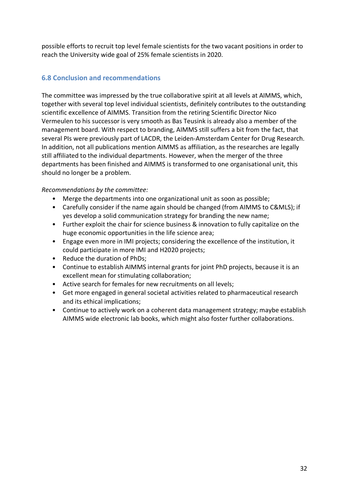possible efforts to recruit top level female scientists for the two vacant positions in order to reach the University wide goal of 25% female scientists in 2020.

# **6.8 Conclusion and recommendations**

The committee was impressed by the true collaborative spirit at all levels at AIMMS, which, together with several top level individual scientists, definitely contributes to the outstanding scientific excellence of AIMMS. Transition from the retiring Scientific Director Nico Vermeulen to his successor is very smooth as Bas Teusink is already also a member of the management board. With respect to branding, AIMMS still suffers a bit from the fact, that several PIs were previously part of LACDR, the Leiden-Amsterdam Center for Drug Research. In addition, not all publications mention AIMMS as affiliation, as the researches are legally still affiliated to the individual departments. However, when the merger of the three departments has been finished and AIMMS is transformed to one organisational unit, this should no longer be a problem.

## *Recommendations by the committee:*

- Merge the departments into one organizational unit as soon as possible;
- Carefully consider if the name again should be changed (from AIMMS to C&MLS); if yes develop a solid communication strategy for branding the new name;
- Further exploit the chair for science business & innovation to fully capitalize on the huge economic opportunities in the life science area;
- Engage even more in IMI projects; considering the excellence of the institution, it could participate in more IMI and H2020 projects;
- Reduce the duration of PhDs;
- Continue to establish AIMMS internal grants for joint PhD projects, because it is an excellent mean for stimulating collaboration;
- Active search for females for new recruitments on all levels;
- Get more engaged in general societal activities related to pharmaceutical research and its ethical implications;
- Continue to actively work on a coherent data management strategy; maybe establish AIMMS wide electronic lab books, which might also foster further collaborations.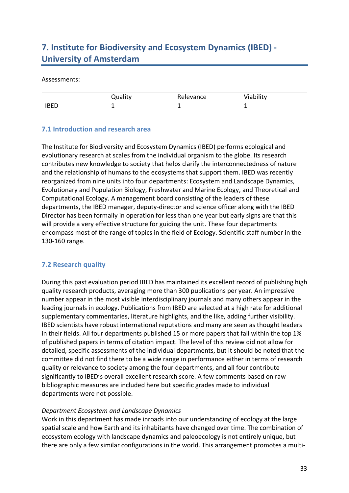# **7. Institute for Biodiversity and Ecosystem Dynamics (IBED) - University of Amsterdam**

#### Assessments:

|             | ا uality | Relevance | Viability |
|-------------|----------|-----------|-----------|
| <b>IBED</b> | -        | -         |           |

## **7.1 Introduction and research area**

The Institute for Biodiversity and Ecosystem Dynamics (IBED) performs ecological and evolutionary research at scales from the individual organism to the globe. Its research contributes new knowledge to society that helps clarify the interconnectedness of nature and the relationship of humans to the ecosystems that support them. IBED was recently reorganized from nine units into four departments: Ecosystem and Landscape Dynamics, Evolutionary and Population Biology, Freshwater and Marine Ecology, and Theoretical and Computational Ecology. A management board consisting of the leaders of these departments, the IBED manager, deputy-director and science officer along with the IBED Director has been formally in operation for less than one year but early signs are that this will provide a very effective structure for guiding the unit. These four departments encompass most of the range of topics in the field of Ecology. Scientific staff number in the 130-160 range.

# **7.2 Research quality**

During this past evaluation period IBED has maintained its excellent record of publishing high quality research products, averaging more than 300 publications per year. An impressive number appear in the most visible interdisciplinary journals and many others appear in the leading journals in ecology. Publications from IBED are selected at a high rate for additional supplementary commentaries, literature highlights, and the like, adding further visibility. IBED scientists have robust international reputations and many are seen as thought leaders in their fields. All four departments published 15 or more papers that fall within the top 1% of published papers in terms of citation impact. The level of this review did not allow for detailed, specific assessments of the individual departments, but it should be noted that the committee did not find there to be a wide range in performance either in terms of research quality or relevance to society among the four departments, and all four contribute significantly to IBED's overall excellent research score. A few comments based on raw bibliographic measures are included here but specific grades made to individual departments were not possible.

#### *Department Ecosystem and Landscape Dynamics*

Work in this department has made inroads into our understanding of ecology at the large spatial scale and how Earth and its inhabitants have changed over time. The combination of ecosystem ecology with landscape dynamics and paleoecology is not entirely unique, but there are only a few similar configurations in the world. This arrangement promotes a multi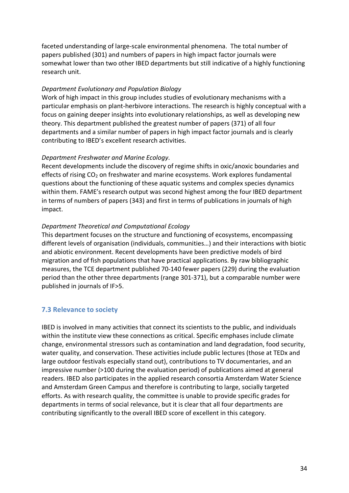faceted understanding of large-scale environmental phenomena. The total number of papers published (301) and numbers of papers in high impact factor journals were somewhat lower than two other IBED departments but still indicative of a highly functioning research unit.

#### *Department Evolutionary and Population Biology*

Work of high impact in this group includes studies of evolutionary mechanisms with a particular emphasis on plant-herbivore interactions. The research is highly conceptual with a focus on gaining deeper insights into evolutionary relationships, as well as developing new theory. This department published the greatest number of papers (371) of all four departments and a similar number of papers in high impact factor journals and is clearly contributing to IBED's excellent research activities.

#### *Department Freshwater and Marine Ecology*.

Recent developments include the discovery of regime shifts in oxic/anoxic boundaries and effects of rising CO<sub>2</sub> on freshwater and marine ecosystems. Work explores fundamental questions about the functioning of these aquatic systems and complex species dynamics within them. FAME's research output was second highest among the four IBED department in terms of numbers of papers (343) and first in terms of publications in journals of high impact.

#### *Department Theoretical and Computational Ecology*

This department focuses on the structure and functioning of ecosystems, encompassing different levels of organisation (individuals, communities…) and their interactions with biotic and abiotic environment. Recent developments have been predictive models of bird migration and of fish populations that have practical applications. By raw bibliographic measures, the TCE department published 70-140 fewer papers (229) during the evaluation period than the other three departments (range 301-371), but a comparable number were published in journals of IF>5.

#### **7.3 Relevance to society**

IBED is involved in many activities that connect its scientists to the public, and individuals within the institute view these connections as critical. Specific emphases include climate change, environmental stressors such as contamination and land degradation, food security, water quality, and conservation. These activities include public lectures (those at TEDx and large outdoor festivals especially stand out), contributions to TV documentaries, and an impressive number (>100 during the evaluation period) of publications aimed at general readers. IBED also participates in the applied research consortia Amsterdam Water Science and Amsterdam Green Campus and therefore is contributing to large, socially targeted efforts. As with research quality, the committee is unable to provide specific grades for departments in terms of social relevance, but it is clear that all four departments are contributing significantly to the overall IBED score of excellent in this category.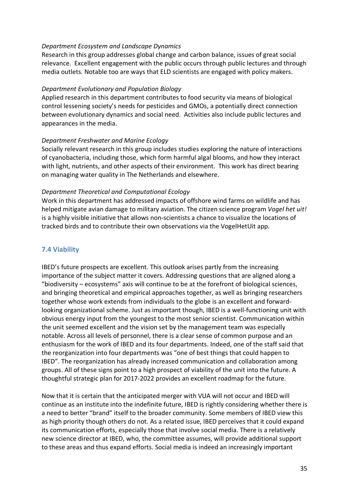#### *Department Ecosystem and Landscape Dynamics*

Research in this group addresses global change and carbon balance, issues of great social relevance. Excellent engagement with the public occurs through public lectures and through media outlets. Notable too are ways that ELD scientists are engaged with policy makers.

#### *Department Evolutionary and Population Biology*

Applied research in this department contributes to food security via means of biological control lessening society's needs for pesticides and GMOs, a potentially direct connection between evolutionary dynamics and social need. Activities also include public lectures and appearances in the media.

#### *Department Freshwater and Marine Ecology*

Socially relevant research in this group includes studies exploring the nature of interactions of cyanobacteria, including those, which form harmful algal blooms, and how they interact with light, nutrients, and other aspects of their environment. This work has direct bearing on managing water quality in The Netherlands and elsewhere.

#### *Department Theoretical and Computational Ecology*

Work in this department has addressed impacts of offshore wind farms on wildlife and has helped mitigate avian damage to military aviation. The citizen science program *Vogel het uit!* is a highly visible initiative that allows non-scientists a chance to visualize the locations of tracked birds and to contribute their own observations via the VogelHetUit app.

# **7.4 Viability**

IBED's future prospects are excellent. This outlook arises partly from the increasing importance of the subject matter it covers. Addressing questions that are aligned along a "biodiversity – ecosystems" axis will continue to be at the forefront of biological sciences, and bringing theoretical and empirical approaches together, as well as bringing researchers together whose work extends from individuals to the globe is an excellent and forwardlooking organizational scheme. Just as important though, IBED is a well-functioning unit with obvious energy input from the youngest to the most senior scientist. Communication within the unit seemed excellent and the vision set by the management team was especially notable. Across all levels of personnel, there is a clear sense of common purpose and an enthusiasm for the work of IBED and its four departments. Indeed, one of the staff said that the reorganization into four departments was "one of best things that could happen to IBED". The reorganization has already increased communication and collaboration among groups. All of these signs point to a high prospect of viability of the unit into the future. A thoughtful strategic plan for 2017-2022 provides an excellent roadmap for the future.

Now that it is certain that the anticipated merger with VUA will not occur and IBED will continue as an institute into the indefinite future, IBED is rightly considering whether there is a need to better "brand" itself to the broader community. Some members of IBED view this as high priority though others do not. As a related issue, IBED perceives that it could expand its communication efforts, especially those that involve social media. There is a relatively new science director at IBED, who, the committee assumes, will provide additional support to these areas and thus expand efforts. Social media is indeed an increasingly important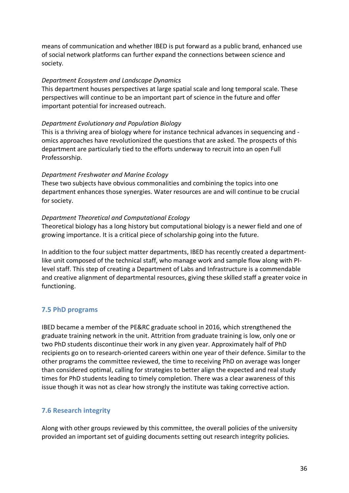means of communication and whether IBED is put forward as a public brand, enhanced use of social network platforms can further expand the connections between science and society.

#### *Department Ecosystem and Landscape Dynamics*

This department houses perspectives at large spatial scale and long temporal scale. These perspectives will continue to be an important part of science in the future and offer important potential for increased outreach.

#### *Department Evolutionary and Population Biology*

This is a thriving area of biology where for instance technical advances in sequencing and omics approaches have revolutionized the questions that are asked. The prospects of this department are particularly tied to the efforts underway to recruit into an open Full Professorship.

#### *Department Freshwater and Marine Ecology*

These two subjects have obvious commonalities and combining the topics into one department enhances those synergies. Water resources are and will continue to be crucial for society.

#### *Department Theoretical and Computational Ecology*

Theoretical biology has a long history but computational biology is a newer field and one of growing importance. It is a critical piece of scholarship going into the future.

In addition to the four subject matter departments, IBED has recently created a departmentlike unit composed of the technical staff, who manage work and sample flow along with PIlevel staff. This step of creating a Department of Labs and Infrastructure is a commendable and creative alignment of departmental resources, giving these skilled staff a greater voice in functioning.

# **7.5 PhD programs**

IBED became a member of the PE&RC graduate school in 2016, which strengthened the graduate training network in the unit. Attrition from graduate training is low, only one or two PhD students discontinue their work in any given year. Approximately half of PhD recipients go on to research-oriented careers within one year of their defence. Similar to the other programs the committee reviewed, the time to receiving PhD on average was longer than considered optimal, calling for strategies to better align the expected and real study times for PhD students leading to timely completion. There was a clear awareness of this issue though it was not as clear how strongly the institute was taking corrective action.

# **7.6 Research integrity**

Along with other groups reviewed by this committee, the overall policies of the university provided an important set of guiding documents setting out research integrity policies.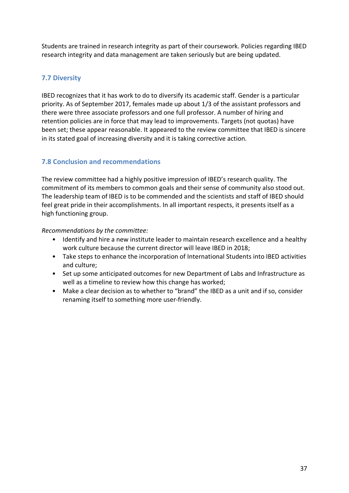Students are trained in research integrity as part of their coursework. Policies regarding IBED research integrity and data management are taken seriously but are being updated.

# **7.7 Diversity**

IBED recognizes that it has work to do to diversify its academic staff. Gender is a particular priority. As of September 2017, females made up about 1/3 of the assistant professors and there were three associate professors and one full professor. A number of hiring and retention policies are in force that may lead to improvements. Targets (not quotas) have been set; these appear reasonable. It appeared to the review committee that IBED is sincere in its stated goal of increasing diversity and it is taking corrective action.

# **7.8 Conclusion and recommendations**

The review committee had a highly positive impression of IBED's research quality. The commitment of its members to common goals and their sense of community also stood out. The leadership team of IBED is to be commended and the scientists and staff of IBED should feel great pride in their accomplishments. In all important respects, it presents itself as a high functioning group.

#### *Recommendations by the committee:*

- Identify and hire a new institute leader to maintain research excellence and a healthy work culture because the current director will leave IBED in 2018;
- Take steps to enhance the incorporation of International Students into IBED activities and culture;
- Set up some anticipated outcomes for new Department of Labs and Infrastructure as well as a timeline to review how this change has worked;
- Make a clear decision as to whether to "brand" the IBED as a unit and if so, consider renaming itself to something more user-friendly.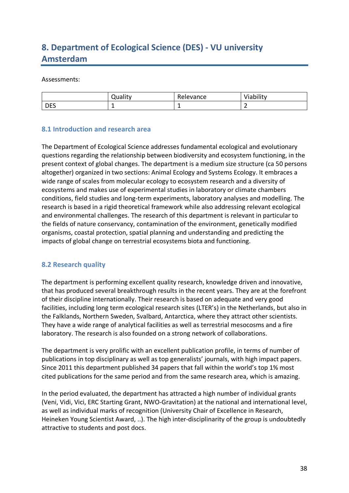# **8. Department of Ecological Science (DES) - VU university Amsterdam**

#### Assessments:

|            | <b>Juality</b> | Relevance | Viability |
|------------|----------------|-----------|-----------|
| <b>DES</b> | -              | -         |           |

## **8.1 Introduction and research area**

The Department of Ecological Science addresses fundamental ecological and evolutionary questions regarding the relationship between biodiversity and ecosystem functioning, in the present context of global changes. The department is a medium size structure (ca 50 persons altogether) organized in two sections: Animal Ecology and Systems Ecology. It embraces a wide range of scales from molecular ecology to ecosystem research and a diversity of ecosystems and makes use of experimental studies in laboratory or climate chambers conditions, field studies and long-term experiments, laboratory analyses and modelling. The research is based in a rigid theoretical framework while also addressing relevant ecological and environmental challenges. The research of this department is relevant in particular to the fields of nature conservancy, contamination of the environment, genetically modified organisms, coastal protection, spatial planning and understanding and predicting the impacts of global change on terrestrial ecosystems biota and functioning.

# **8.2 Research quality**

The department is performing excellent quality research, knowledge driven and innovative, that has produced several breakthrough results in the recent years. They are at the forefront of their discipline internationally. Their research is based on adequate and very good facilities, including long term ecological research sites (LTER's) in the Netherlands, but also in the Falklands, Northern Sweden, Svalbard, Antarctica, where they attract other scientists. They have a wide range of analytical facilities as well as terrestrial mesocosms and a fire laboratory. The research is also founded on a strong network of collaborations.

The department is very prolific with an excellent publication profile, in terms of number of publications in top disciplinary as well as top generalists' journals, with high impact papers. Since 2011 this department published 34 papers that fall within the world's top 1% most cited publications for the same period and from the same research area, which is amazing.

In the period evaluated, the department has attracted a high number of individual grants (Veni, Vidi, Vici, ERC Starting Grant, NWO-Gravitation) at the national and international level, as well as individual marks of recognition (University Chair of Excellence in Research, Heineken Young Scientist Award, ..). The high inter-disciplinarity of the group is undoubtedly attractive to students and post docs.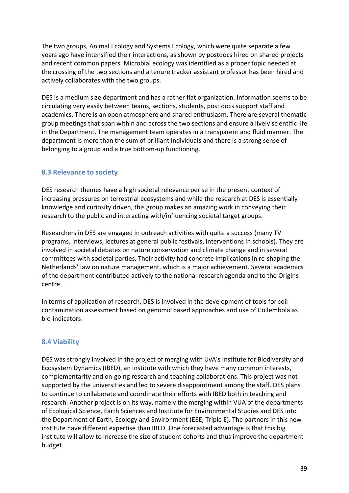The two groups, Animal Ecology and Systems Ecology, which were quite separate a few years ago have intensified their interactions, as shown by postdocs hired on shared projects and recent common papers. Microbial ecology was identified as a proper topic needed at the crossing of the two sections and a tenure tracker assistant professor has been hired and actively collaborates with the two groups.

DES is a medium size department and has a rather flat organization. Information seems to be circulating very easily between teams, sections, students, post docs support staff and academics. There is an open atmosphere and shared enthusiasm. There are several thematic group meetings that span within and across the two sections and ensure a lively scientific life in the Department. The management team operates in a transparent and fluid manner. The department is more than the sum of brilliant individuals and there is a strong sense of belonging to a group and a true bottom-up functioning.

# **8.3 Relevance to society**

DES research themes have a high societal relevance per se in the present context of increasing pressures on terrestrial ecosystems and while the research at DES is essentially knowledge and curiosity driven, this group makes an amazing work in conveying their research to the public and interacting with/influencing societal target groups.

Researchers in DES are engaged in outreach activities with quite a success (many TV programs, interviews, lectures at general public festivals, interventions in schools). They are involved in societal debates on nature conservation and climate change and in several committees with societal parties. Their activity had concrete implications in re-shaping the Netherlands' law on nature management, which is a major achievement. Several academics of the department contributed actively to the national research agenda and to the Origins centre.

In terms of application of research, DES is involved in the development of tools for soil contamination assessment based on genomic based approaches and use of Collembola as bio-indicators.

#### **8.4 Viability**

DES was strongly involved in the project of merging with UvA's Institute for Biodiversity and Ecosystem Dynamics (IBED), an institute with which they have many common interests, complementarity and on-going research and teaching collaborations. This project was not supported by the universities and led to severe disappointment among the staff. DES plans to continue to collaborate and coordinate their efforts with IBED both in teaching and research. Another project is on its way, namely the merging within VUA of the departments of Ecological Science, Earth Sciences and Institute for Environmental Studies and DES into the Department of Earth, Ecology and Environment (EEE; Triple E). The partners in this new institute have different expertise than IBED. One forecasted advantage is that this big institute will allow to increase the size of student cohorts and thus improve the department budget.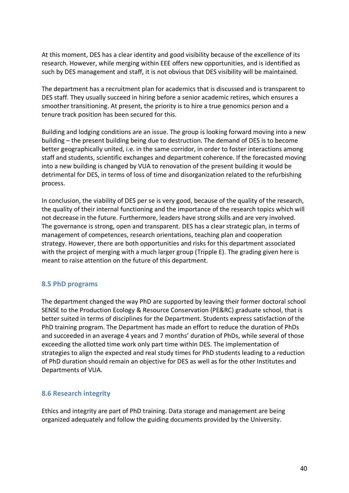At this moment, DES has a clear identity and good visibility because of the excellence of its research. However, while merging within EEE offers new opportunities, and is identified as such by DES management and staff, it is not obvious that DES visibility will be maintained.

The department has a recruitment plan for academics that is discussed and is transparent to DES staff. They usually succeed in hiring before a senior academic retires, which ensures a smoother transitioning. At present, the priority is to hire a true genomics person and a tenure track position has been secured for this.

Building and lodging conditions are an issue. The group is looking forward moving into a new building – the present building being due to destruction. The demand of DES is to become better geographically united, i.e. in the same corridor, in order to foster interactions among staff and students, scientific exchanges and department coherence. If the forecasted moving into a new building is changed by VUA to renovation of the present building it would be detrimental for DES, in terms of loss of time and disorganization related to the refurbishing process.

In conclusion, the viability of DES per se is very good, because of the quality of the research, the quality of their internal functioning and the importance of the research topics which will not decrease in the future. Furthermore, leaders have strong skills and are very involved. The governance is strong, open and transparent. DES has a clear strategic plan, in terms of management of competences, research orientations, teaching plan and cooperation strategy. However, there are both opportunities and risks for this department associated with the project of merging with a much larger group (Tripple E). The grading given here is meant to raise attention on the future of this department.

#### **8.5 PhD programs**

The department changed the way PhD are supported by leaving their former doctoral school SENSE to the Production Ecology & Resource Conservation (PE&RC) graduate school, that is better suited in terms of disciplines for the Department. Students express satisfaction of the PhD training program. The Department has made an effort to reduce the duration of PhDs and succeeded in an average 4 years and 7 months' duration of PhDs, while several of those exceeding the allotted time work only part time within DES. The implementation of strategies to align the expected and real study times for PhD students leading to a reduction of PhD duration should remain an objective for DES as well as for the other Institutes and Departments of VUA.

#### **8.6 Research integrity**

Ethics and integrity are part of PhD training. Data storage and management are being organized adequately and follow the guiding documents provided by the University.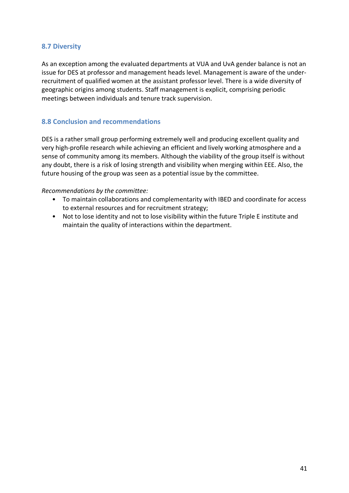## **8.7 Diversity**

As an exception among the evaluated departments at VUA and UvA gender balance is not an issue for DES at professor and management heads level. Management is aware of the underrecruitment of qualified women at the assistant professor level. There is a wide diversity of geographic origins among students. Staff management is explicit, comprising periodic meetings between individuals and tenure track supervision.

## **8.8 Conclusion and recommendations**

DES is a rather small group performing extremely well and producing excellent quality and very high-profile research while achieving an efficient and lively working atmosphere and a sense of community among its members. Although the viability of the group itself is without any doubt, there is a risk of losing strength and visibility when merging within EEE. Also, the future housing of the group was seen as a potential issue by the committee.

#### *Recommendations by the committee:*

- To maintain collaborations and complementarity with IBED and coordinate for access to external resources and for recruitment strategy;
- Not to lose identity and not to lose visibility within the future Triple E institute and maintain the quality of interactions within the department.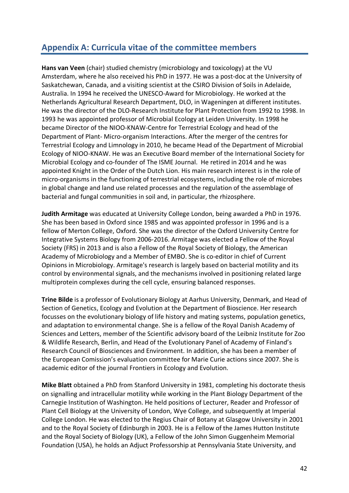# **Appendix A: Curricula vitae of the committee members**

**Hans van Veen** (chair) studied chemistry (microbiology and toxicology) at the VU Amsterdam, where he also received his PhD in 1977. He was a post-doc at the University of Saskatchewan, Canada, and a visiting scientist at the CSIRO Division of Soils in Adelaide, Australia. In 1994 he received the UNESCO-Award for Microbiology. He worked at the Netherlands Agricultural Research Department, DLO, in Wageningen at different institutes. He was the director of the DLO-Research Institute for Plant Protection from 1992 to 1998. In 1993 he was appointed professor of Microbial Ecology at Leiden University. In 1998 he became Director of the NIOO-KNAW-Centre for Terrestrial Ecology and head of the Department of Plant- Micro-organism Interactions. After the merger of the centres for Terrestrial Ecology and Limnology in 2010, he became Head of the Department of Microbial Ecology of NIOO-KNAW. He was an Executive Board member of the International Society for Microbial Ecology and co-founder of The ISME Journal. He retired in 2014 and he was appointed Knight in the Order of the Dutch Lion. His main research interest is in the role of micro-organisms in the functioning of terrestrial ecosystems, including the role of microbes in global change and land use related processes and the regulation of the assemblage of bacterial and fungal communities in soil and, in particular, the rhizosphere.

**Judith Armitage** was educated at University College London, being awarded a PhD in 1976. She has been based in Oxford since 1985 and was appointed professor in 1996 and is a fellow of Merton College, Oxford. She was the director of the Oxford University Centre for Integrative Systems Biology from 2006-2016. Armitage was elected a Fellow of the Royal Society (FRS) in 2013 and is also a Fellow of the Royal Society of Biology, the American Academy of Microbiology and a Member of EMBO. She is co-editor in chief of Current Opinions in Microbiology. Armitage's research is largely based on bacterial motility and its control by environmental signals, and the mechanisms involved in positioning related large multiprotein complexes during the cell cycle, ensuring balanced responses.

**Trine Bilde** is a professor of Evolutionary Biology at Aarhus University, Denmark, and Head of Section of Genetics, Ecology and Evolution at the Department of Bioscience. Her research focusses on the evolutionary biology of life history and mating systems, population genetics, and adaptation to environmental change. She is a fellow of the Royal Danish Academy of Sciences and Letters, member of the Scientific advisory board of the Leibniz Institute for Zoo & Wildlife Research, Berlin, and Head of the Evolutionary Panel of Academy of Finland's Research Council of Biosciences and Environment. In addition, she has been a member of the European Comission's evaluation committee for Marie Curie actions since 2007. She is academic editor of the journal Frontiers in Ecology and Evolution.

**Mike Blatt** obtained a PhD from Stanford University in 1981, completing his doctorate thesis on signalling and intracellular motility while working in the Plant Biology Department of the Carnegie Institution of Washington. He held positions of Lecturer, Reader and Professor of Plant Cell Biology at the University of London, Wye College, and subsequently at Imperial College London. He was elected to the Regius Chair of Botany at Glasgow University in 2001 and to the Royal Society of Edinburgh in 2003. He is a Fellow of the James Hutton Institute and the Royal Society of Biology (UK), a Fellow of the John Simon Guggenheim Memorial Foundation (USA), he holds an Adjuct Professorship at Pennsylvania State University, and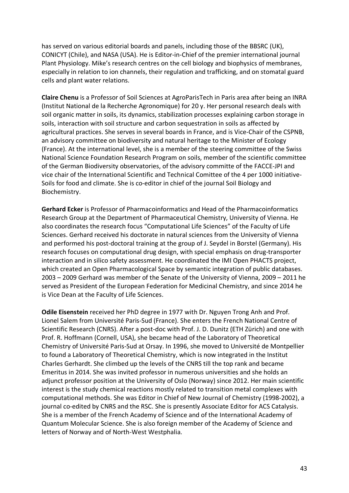has served on various editorial boards and panels, including those of the BBSRC (UK), CONICYT (Chile), and NASA (USA). He is Editor-in-Chief of the premier international journal Plant Physiology. Mike's research centres on the cell biology and biophysics of membranes, especially in relation to ion channels, their regulation and trafficking, and on stomatal guard cells and plant water relations.

**Claire Chenu** is a Professor of Soil Sciences at AgroParisTech in Paris area after being an INRA (Institut National de la Recherche Agronomique) for 20 y. Her personal research deals with soil organic matter in soils, its dynamics, stabilization processes explaining carbon storage in soils, interaction with soil structure and carbon sequestration in soils as affected by agricultural practices. She serves in several boards in France, and is Vice-Chair of the CSPNB, an advisory committee on biodiversity and natural heritage to the Minister of Ecology (France). At the international level, she is a member of the steering committee of the Swiss National Science Foundation Research Program on soils, member of the scientific committee of the German Biodiversity observatories, of the advisory committe of the FACCE-JPI and vice chair of the International Scientific and Technical Comittee of the 4 per 1000 initiative-Soils for food and climate. She is co-editor in chief of the journal Soil Biology and Biochemistry.

**Gerhard Ecker** is Professor of Pharmacoinformatics and Head of the Pharmacoinformatics Research Group at the Department of Pharmaceutical Chemistry, University of Vienna. He also coordinates the research focus "Computational Life Sciences" of the Faculty of Life Sciences. Gerhard received his doctorate in natural sciences from the University of Vienna and performed his post-doctoral training at the group of J. Seydel in Borstel (Germany). His research focuses on computational drug design, with special emphasis on drug-transporter interaction and in silico safety assessment. He coordinated the IMI Open PHACTS project, which created an Open Pharmacological Space by semantic integration of public databases. 2003 – 2009 Gerhard was member of the Senate of the University of Vienna, 2009 – 2011 he served as President of the European Federation for Medicinal Chemistry, and since 2014 he is Vice Dean at the Faculty of Life Sciences.

**Odile Eisenstein** received her PhD degree in 1977 with Dr. Nguyen Trong Anh and Prof. Lionel Salem from Université Paris-Sud (France). She enters the French National Centre of Scientific Research (CNRS). After a post-doc with Prof. J. D. Dunitz (ETH Zürich) and one with Prof. R. Hoffmann (Cornell, USA), she became head of the Laboratory of Theoretical Chemistry of Université Paris-Sud at Orsay. In 1996, she moved to Université de Montpellier to found a Laboratory of Theoretical Chemistry, which is now integrated in the Institut Charles Gerhardt. She climbed up the levels of the CNRS till the top rank and became Emeritus in 2014. She was invited professor in numerous universities and she holds an adjunct professor position at the University of Oslo (Norway) since 2012. Her main scientific interest is the study chemical reactions mostly related to transition metal complexes with computational methods. She was Editor in Chief of New Journal of Chemistry (1998-2002), a journal co-edited by CNRS and the RSC. She is presently Associate Editor for ACS Catalysis. She is a member of the French Academy of Science and of the International Academy of Quantum Molecular Science. She is also foreign member of the Academy of Science and letters of Norway and of North-West Westphalia.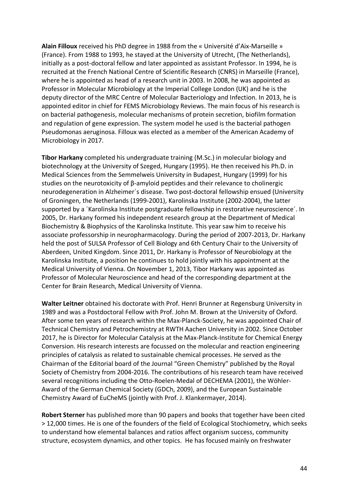**Alain Filloux** received his PhD degree in 1988 from the « Université d'Aix-Marseille » (France). From 1988 to 1993, he stayed at the University of Utrecht, (The Netherlands), initially as a post-doctoral fellow and later appointed as assistant Professor. In 1994, he is recruited at the French National Centre of Scientific Research (CNRS) in Marseille (France), where he is appointed as head of a research unit in 2003. In 2008, he was appointed as Professor in Molecular Microbiology at the Imperial College London (UK) and he is the deputy director of the MRC Centre of Molecular Bacteriology and Infection. In 2013, he is appointed editor in chief for FEMS Microbiology Reviews. The main focus of his research is on bacterial pathogenesis, molecular mechanisms of protein secretion, biofilm formation and regulation of gene expression. The system model he used is the bacterial pathogen Pseudomonas aeruginosa. Filloux was elected as a member of the American Academy of Microbiology in 2017.

**Tibor Harkany** completed his undergraduate training (M.Sc.) in molecular biology and biotechnology at the University of Szeged, Hungary (1995). He then received his Ph.D. in Medical Sciences from the Semmelweis University in Budapest, Hungary (1999) for his studies on the neurotoxicity of β-amyloid peptides and their relevance to cholinergic neurodegeneration in Alzheimer´s disease. Two post-doctoral fellowship ensued (University of Groningen, the Netherlands (1999-2001), Karolinska Institute (2002-2004), the latter supported by a ´Karolinska Institute postgraduate fellowship in restorative neuroscience´. In 2005, Dr. Harkany formed his independent research group at the Department of Medical Biochemistry & Biophysics of the Karolinska Institute. This year saw him to receive his associate professorship in neuropharmacology. During the period of 2007-2013, Dr. Harkany held the post of SULSA Professor of Cell Biology and 6th Century Chair to the University of Aberdeen, United Kingdom. Since 2011, Dr. Harkany is Professor of Neurobiology at the Karolinska Institute, a position he continues to hold jointly with his appointment at the Medical University of Vienna. On November 1, 2013, Tibor Harkany was appointed as Professor of Molecular Neuroscience and head of the corresponding department at the Center for Brain Research, Medical University of Vienna.

**Walter Leitner** obtained his doctorate with Prof. Henri Brunner at Regensburg University in 1989 and was a Postdoctoral Fellow with Prof. John M. Brown at the University of Oxford. After some ten years of research within the Max-Planck-Society, he was appointed Chair of Technical Chemistry and Petrochemistry at RWTH Aachen University in 2002. Since October 2017, he is Director for Molecular Catalysis at the Max-Planck-Institute for Chemical Energy Conversion. His research interests are focussed on the molecular and reaction engineering principles of catalysis as related to sustainable chemical processes. He served as the Chairman of the Editorial board of the Journal "Green Chemistry" published by the Royal Society of Chemistry from 2004-2016. The contributions of his research team have received several recognitions including the Otto-Roelen-Medal of DECHEMA (2001), the Wöhler-Award of the German Chemical Society (GDCh, 2009), and the European Sustainable Chemistry Award of EuCheMS (jointly with Prof. J. Klankermayer, 2014).

**Robert Sterner** has published more than 90 papers and books that together have been cited > 12,000 times. He is one of the founders of the field of Ecological Stochiometry, which seeks to understand how elemental balances and ratios affect organism success, community structure, ecosystem dynamics, and other topics. He has focused mainly on freshwater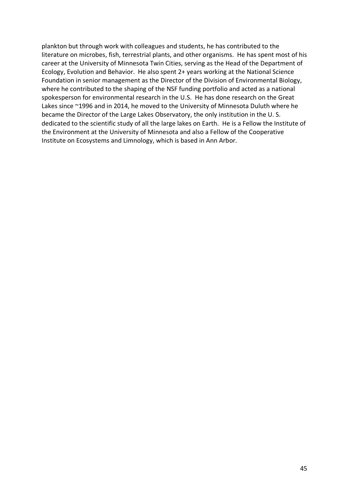plankton but through work with colleagues and students, he has contributed to the literature on microbes, fish, terrestrial plants, and other organisms. He has spent most of his career at the University of Minnesota Twin Cities, serving as the Head of the Department of Ecology, Evolution and Behavior. He also spent 2+ years working at the National Science Foundation in senior management as the Director of the Division of Environmental Biology, where he contributed to the shaping of the NSF funding portfolio and acted as a national spokesperson for environmental research in the U.S. He has done research on the Great Lakes since ~1996 and in 2014, he moved to the University of Minnesota Duluth where he became the Director of the Large Lakes Observatory, the only institution in the U. S. dedicated to the scientific study of all the large lakes on Earth. He is a Fellow the Institute of the Environment at the University of Minnesota and also a Fellow of the Cooperative Institute on Ecosystems and Limnology, which is based in Ann Arbor.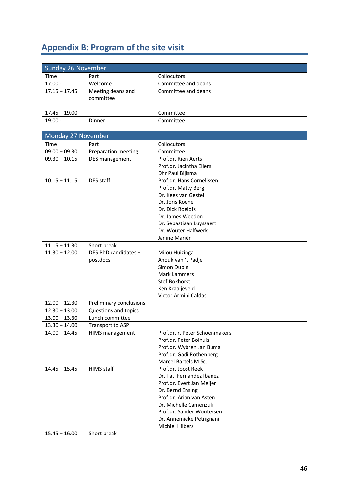# **Appendix B: Program of the site visit**

| Sunday 26 November |                                |                     |
|--------------------|--------------------------------|---------------------|
| Time               | Part                           | Collocutors         |
| $17.00 -$          | Welcome                        | Committee and deans |
| $17.15 - 17.45$    | Meeting deans and<br>committee | Committee and deans |
| $17.45 - 19.00$    |                                | Committee           |
| $19.00 -$          | Dinner                         | Committee           |

| Monday 27 November |                         |                                |  |
|--------------------|-------------------------|--------------------------------|--|
| Time               | Part                    | Collocutors                    |  |
| $09.00 - 09.30$    | Preparation meeting     | Committee                      |  |
| $09.30 - 10.15$    | DES management          | Prof.dr. Rien Aerts            |  |
|                    |                         | Prof.dr. Jacintha Ellers       |  |
|                    |                         | Dhr Paul Bijlsma               |  |
| $10.15 - 11.15$    | DES staff               | Prof.dr. Hans Cornelissen      |  |
|                    |                         | Prof.dr. Matty Berg            |  |
|                    |                         | Dr. Kees van Gestel            |  |
|                    |                         | Dr. Joris Koene                |  |
|                    |                         | Dr. Dick Roelofs               |  |
|                    |                         | Dr. James Weedon               |  |
|                    |                         | Dr. Sebastiaan Luyssaert       |  |
|                    |                         | Dr. Wouter Halfwerk            |  |
|                    |                         | Janine Mariën                  |  |
| $11.15 - 11.30$    | Short break             |                                |  |
| $11.30 - 12.00$    | DES PhD candidates +    | Milou Huizinga                 |  |
|                    | postdocs                | Anouk van 't Padje             |  |
|                    |                         | Simon Dupin                    |  |
|                    |                         | <b>Mark Lammers</b>            |  |
|                    |                         | Stef Bokhorst                  |  |
|                    |                         | Ken Kraaijeveld                |  |
|                    |                         | Victor Armini Caldas           |  |
| $12.00 - 12.30$    | Preliminary conclusions |                                |  |
| $12.30 - 13.00$    | Questions and topics    |                                |  |
| $13.00 - 13.30$    | Lunch committee         |                                |  |
| $13.30 - 14.00$    | Transport to ASP        |                                |  |
| $14.00 - 14.45$    | HIMS management         | Prof.dr.ir. Peter Schoenmakers |  |
|                    |                         | Prof.dr. Peter Bolhuis         |  |
|                    |                         | Prof.dr. Wybren Jan Buma       |  |
|                    |                         | Prof.dr. Gadi Rothenberg       |  |
|                    |                         | Marcel Bartels M.Sc.           |  |
| $14.45 - 15.45$    | HIMS staff              | Prof.dr. Joost Reek            |  |
|                    |                         | Dr. Tati Fernandez Ibanez      |  |
|                    |                         | Prof.dr. Evert Jan Meijer      |  |
|                    |                         | Dr. Bernd Ensing               |  |
|                    |                         | Prof.dr. Arian van Asten       |  |
|                    |                         | Dr. Michelle Camenzuli         |  |
|                    |                         | Prof.dr. Sander Woutersen      |  |
|                    |                         | Dr. Annemieke Petrignani       |  |
|                    |                         | <b>Michiel Hilbers</b>         |  |
| $15.45 - 16.00$    | Short break             |                                |  |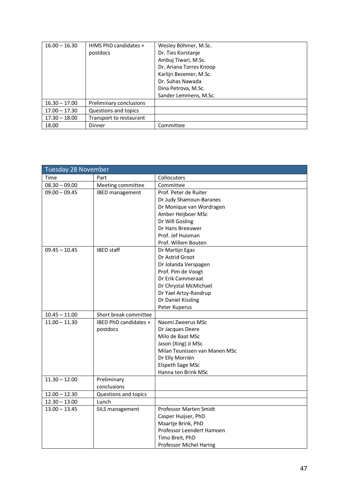| $16.00 - 16.30$ | HIMS PhD candidates +   | Wesley Böhmer, M.Sc.    |
|-----------------|-------------------------|-------------------------|
|                 | postdocs                | Dr. Ties Korstanje      |
|                 |                         | Ambuj Tiwari, M.Sc.     |
|                 |                         | Dr. Ariana Torres Knoop |
|                 |                         | Karlijn Bezemer, M.Sc.  |
|                 |                         | Dr. Suhas Nawada        |
|                 |                         | Dina Petrova, M.Sc.     |
|                 |                         | Sander Lemmens, M.Sc.   |
| $16.30 - 17.00$ | Preliminary conclusions |                         |
| $17.00 - 17.30$ | Questions and topics    |                         |
| $17.30 - 18.00$ | Transport to restaurant |                         |
| 18.00           | <b>Dinner</b>           | Committee               |

| <b>Tuesday 28 November</b> |                        |                               |  |
|----------------------------|------------------------|-------------------------------|--|
| Time                       | Part                   | Collocutors                   |  |
| $08.30 - 09.00$            | Meeting committee      | Committee                     |  |
| $09.00 - 09.45$            | <b>IBED</b> management | Prof. Peter de Ruiter         |  |
|                            |                        | Dr Judy Shamoun-Baranes       |  |
|                            |                        | Dr Monique van Wordragen      |  |
|                            |                        | Amber Heijboer MSc            |  |
|                            |                        | Dr Will Gosling               |  |
|                            |                        | Dr Hans Breeuwer              |  |
|                            |                        | Prof. Jef Huisman             |  |
|                            |                        | Prof. Willem Bouten           |  |
| $09.45 - 10.45$            | <b>IBED</b> staff      | Dr Martijn Egas               |  |
|                            |                        | Dr Astrid Groot               |  |
|                            |                        | Dr Jolanda Verspagen          |  |
|                            |                        | Prof. Pim de Voogt            |  |
|                            |                        | Dr Erik Cammeraat             |  |
|                            |                        | Dr Chrystal McMichael         |  |
|                            |                        | Dr Yael Artzy-Randrup         |  |
|                            |                        | Dr Daniel Kissling            |  |
|                            |                        | Peter Kuperus                 |  |
| $10.45 - 11.00$            | Short break committee  |                               |  |
| $11.00 - 11.30$            | IBED PhD candidates +  | Naomi Zweerus MSc             |  |
|                            | postdocs               | Dr Jacques Deere              |  |
|                            |                        | Milo de Baat MSc              |  |
|                            |                        | Jason (Xing) Ji MSc           |  |
|                            |                        | Milan Teunissen van Manen MSc |  |
|                            |                        | Dr Elly Morriën               |  |
|                            |                        | Elspeth Sage MSc              |  |
|                            |                        | Hanna ten Brink MSc           |  |
| $11.30 - 12.00$            | Preliminary            |                               |  |
|                            | conclusions            |                               |  |
| $12.00 - 12.30$            | Questions and topics   |                               |  |
| $12.30 - 13.00$            | Lunch                  |                               |  |
| $13.00 - 13.45$            | SILS management        | Professor Marten Smidt        |  |
|                            |                        | Casper Huijser, PhD           |  |
|                            |                        | Maartje Brink, PhD            |  |
|                            |                        | Professor Leendert Hamoen     |  |
|                            |                        | Timo Breit, PhD               |  |
|                            |                        | Professor Michel Haring       |  |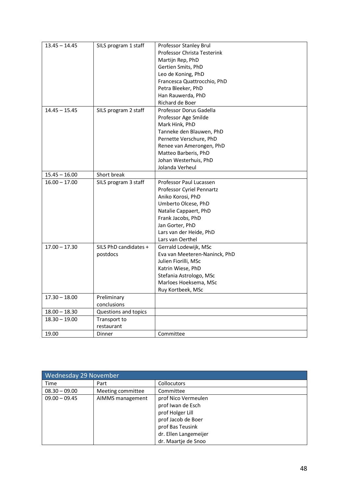| $13.45 - 14.45$ | SILS program 1 staff  | Professor Stanley Brul        |
|-----------------|-----------------------|-------------------------------|
|                 |                       | Professor Christa Testerink   |
|                 |                       | Martijn Rep, PhD              |
|                 |                       | Gertien Smits, PhD            |
|                 |                       | Leo de Koning, PhD            |
|                 |                       | Francesca Quattrocchio, PhD   |
|                 |                       | Petra Bleeker, PhD            |
|                 |                       | Han Rauwerda, PhD             |
|                 |                       | Richard de Boer               |
| $14.45 - 15.45$ | SILS program 2 staff  | Professor Dorus Gadella       |
|                 |                       | Professor Age Smilde          |
|                 |                       | Mark Hink, PhD                |
|                 |                       | Tanneke den Blauwen, PhD      |
|                 |                       | Pernette Verschure, PhD       |
|                 |                       | Renee van Amerongen, PhD      |
|                 |                       | Matteo Barberis, PhD          |
|                 |                       | Johan Westerhuis, PhD         |
|                 |                       | Jolanda Verheul               |
| $15.45 - 16.00$ | Short break           |                               |
| $16.00 - 17.00$ | SILS program 3 staff  | Professor Paul Lucassen       |
|                 |                       | Professor Cyriel Pennartz     |
|                 |                       | Aniko Korosi, PhD             |
|                 |                       | Umberto Olcese, PhD           |
|                 |                       | Natalie Cappaert, PhD         |
|                 |                       | Frank Jacobs, PhD             |
|                 |                       | Jan Gorter, PhD               |
|                 |                       | Lars van der Heide, PhD       |
|                 |                       | Lars van Oerthel              |
| $17.00 - 17.30$ | SILS PhD candidates + | Gerrald Lodewijk, MSc         |
|                 | postdocs              | Eva van Meeteren-Naninck, PhD |
|                 |                       | Julien Fiorilli, MSc          |
|                 |                       | Katrin Wiese, PhD             |
|                 |                       | Stefania Astrologo, MSc       |
|                 |                       | Marloes Hoeksema, MSc         |
|                 |                       | Ruy Kortbeek, MSc             |
| $17.30 - 18.00$ | Preliminary           |                               |
|                 | conclusions           |                               |
| $18.00 - 18.30$ | Questions and topics  |                               |
| $18.30 - 19.00$ | Transport to          |                               |
|                 | restaurant            |                               |
| 19.00           | Dinner                | Committee                     |

| Wednesday 29 November |                   |                                                                                                                                                        |
|-----------------------|-------------------|--------------------------------------------------------------------------------------------------------------------------------------------------------|
| Time                  | Part              | <b>Collocutors</b>                                                                                                                                     |
| $08.30 - 09.00$       | Meeting committee | Committee                                                                                                                                              |
| $09.00 - 09.45$       | AIMMS management  | prof Nico Vermeulen<br>prof Iwan de Esch<br>prof Holger Lill<br>prof Jacob de Boer<br>prof Bas Teusink<br>dr. Ellen Langemeijer<br>dr. Maartje de Snoo |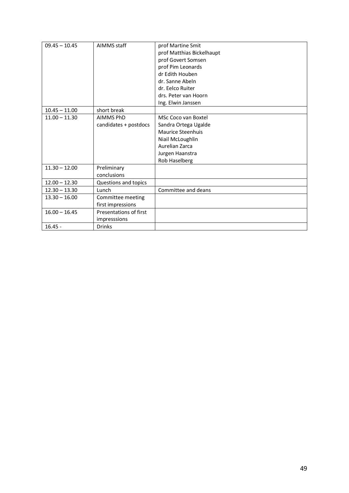| $09.45 - 10.45$ | AIMMS staff            | prof Martine Smit<br>prof Matthias Bickelhaupt<br>prof Govert Somsen<br>prof Pim Leonards<br>dr Edith Houben<br>dr. Sanne Abeln<br>dr. Eelco Ruiter<br>drs. Peter van Hoorn |
|-----------------|------------------------|-----------------------------------------------------------------------------------------------------------------------------------------------------------------------------|
|                 |                        | Ing. Elwin Janssen                                                                                                                                                          |
| $10.45 - 11.00$ | short break            |                                                                                                                                                                             |
| $11.00 - 11.30$ | <b>AIMMS PhD</b>       | MSc Coco van Boxtel                                                                                                                                                         |
|                 | candidates + postdocs  | Sandra Ortega Ugalde                                                                                                                                                        |
|                 |                        | <b>Maurice Steenhuis</b>                                                                                                                                                    |
|                 |                        | Niail McLoughlin                                                                                                                                                            |
|                 |                        | Aurelian Zarca                                                                                                                                                              |
|                 |                        | Jurgen Haanstra                                                                                                                                                             |
|                 |                        | Rob Haselberg                                                                                                                                                               |
| $11.30 - 12.00$ | Preliminary            |                                                                                                                                                                             |
|                 | conclusions            |                                                                                                                                                                             |
| $12.00 - 12.30$ | Questions and topics   |                                                                                                                                                                             |
| $12.30 - 13.30$ | Lunch                  | Committee and deans                                                                                                                                                         |
| $13.30 - 16.00$ | Committee meeting      |                                                                                                                                                                             |
|                 | first impressions      |                                                                                                                                                                             |
| $16.00 - 16.45$ | Presentations of first |                                                                                                                                                                             |
|                 | impresssions           |                                                                                                                                                                             |
| $16.45 -$       | <b>Drinks</b>          |                                                                                                                                                                             |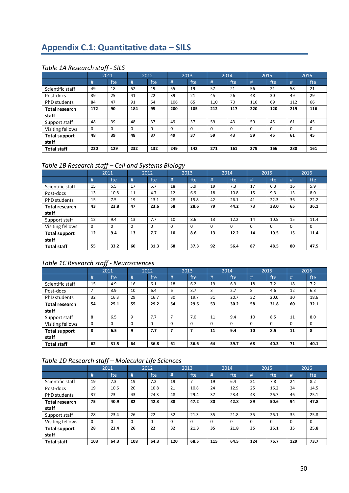# **Appendix C.1: Quantitative data – SILS**

## *Table 1A Research staff - SILS*

|                                |          | 2011 |          | 2012 |     | 2013     |          | 2014     |          | 2015     |          | 2016     |
|--------------------------------|----------|------|----------|------|-----|----------|----------|----------|----------|----------|----------|----------|
|                                | #        | fte  | #        | fte  | #   | fte      | #        | fte      | #        | fte      | #        | fte      |
| Scientific staff               | 49       | 18   | 52       | 19   | 55  | 19       | 57       | 21       | 56       | 21       | 58       | 21       |
| Post-docs                      | 39       | 25   | 41       | 22   | 39  | 21       | 45       | 26       | 48       | 30       | 49       | 29       |
| PhD students                   | 84       | 47   | 91       | 54   | 106 | 65       | 110      | 70       | 116      | 69       | 112      | 66       |
| <b>Total research</b><br>staff | 172      | 90   | 184      | 95   | 200 | 105      | 212      | 117      | 220      | 120      | 219      | 116      |
| Support staff                  | 48       | 39   | 48       | 37   | 49  | 37       | 59       | 43       | 59       | 45       | 61       | 45       |
| Visiting fellows               | $\Omega$ | 0    | $\Omega$ | 0    | 0   | $\Omega$ | $\Omega$ | $\Omega$ | $\Omega$ | $\Omega$ | $\Omega$ | $\Omega$ |
| <b>Total support</b><br>staff  | 48       | 39   | 48       | 37   | 49  | 37       | 59       | 43       | 59       | 45       | 61       | 45       |
| <b>Total staff</b>             | 220      | 129  | 232      | 132  | 249 | 142      | 271      | 161      | 279      | 166      | 280      | 161      |

# *Table 1B Research staff – Cell and Systems Biology*

|                                |    | 2011     | 2012     |          | 2013     |          | 2014     |          | 2015 |      | 2016     |          |
|--------------------------------|----|----------|----------|----------|----------|----------|----------|----------|------|------|----------|----------|
|                                | #  | fte      | #        | fte      | #        | fte      | #        | fte      | #    | fte  | #        | fte      |
| Scientific staff               | 15 | 5.5      | 17       | 5.7      | 18       | 5.9      | 19       | 7.3      | 17   | 6.3  | 16       | 5.9      |
| Post-docs                      | 13 | 10.8     | 11       | 4.7      | 12       | 6.9      | 18       | 10.8     | 15   | 9.3  | 13       | 8.0      |
| PhD students                   | 15 | 7.5      | 19       | 13.1     | 28       | 15.8     | 42       | 26.1     | 41   | 22.3 | 36       | 22.2     |
| <b>Total research</b><br>staff | 43 | 23.8     | 47       | 23.6     | 58       | 28.6     | 79       | 44.2     | 73   | 38.0 | 65       | 36.1     |
| Support staff                  | 12 | 9.4      | 13       | 7.7      | 10       | 8.6      | 13       | 12.2     | 14   | 10.5 | 15       | 11.4     |
| Visiting fellows               | 0  | $\Omega$ | $\Omega$ | $\Omega$ | $\Omega$ | $\Omega$ | $\Omega$ | $\Omega$ | 0    | 0    | $\Omega$ | $\Omega$ |
| <b>Total support</b><br>staff  | 12 | 9.4      | 13       | 7.7      | 10       | 8.6      | 13       | 12.2     | 14   | 10.5 | 15       | 11.4     |
| <b>Total staff</b>             | 55 | 33.2     | 60       | 31.3     | 68       | 37.3     | 92       | 56.4     | 87   | 48.5 | 80       | 47.5     |

# *Table 1C Research staff - Neurosciences*

|                       |    | 2011     |              | 2012     |                | 2013     |    | 2014     |          | 2015     |          | 2016     |
|-----------------------|----|----------|--------------|----------|----------------|----------|----|----------|----------|----------|----------|----------|
|                       | #  | fte      | #            | fte      | #              | fte      | #  | fte      | #        | fte      | #        | fte      |
| Scientific staff      | 15 | 4.9      | 16           | 6.1      | 18             | 6.2      | 19 | 6.9      | 18       | 7.2      | 18       | 7.2      |
| Post-docs             | ⇁  | 3.9      | 10           | 6.4      | 6              | 3.7      | 3  | 2.7      | 8        | 4.6      | 12       | 6.3      |
| PhD students          | 32 | 16.3     | 29           | 16.7     | 30             | 19.7     | 31 | 20.7     | 32       | 20.0     | 30       | 18.6     |
| <b>Total research</b> | 54 | 25.1     | 55           | 29.2     | 54             | 29.6     | 53 | 30.2     | 58       | 31.8     | 60       | 32.1     |
| staff                 |    |          |              |          |                |          |    |          |          |          |          |          |
| Support staff         | 8  | 6.5      | $\mathbf{q}$ | 7.7      | $\overline{7}$ | 7.0      | 11 | 9.4      | 10       | 8.5      | 11       | 8.0      |
| Visiting fellows      | 0  | $\Omega$ | $\Omega$     | $\Omega$ | $\Omega$       | $\Omega$ | 0  | $\Omega$ | $\Omega$ | $\Omega$ | $\Omega$ | $\Omega$ |
| <b>Total support</b>  | 8  | 6.5      | 9            | 7.7      | 7              | 7        | 11 | 9.4      | 10       | 8.5      | 11       | 8        |
| staff                 |    |          |              |          |                |          |    |          |          |          |          |          |
| <b>Total staff</b>    | 62 | 31.5     | 64           | 36.8     | 61             | 36.6     | 64 | 39.7     | 68       | 40.3     | 71       | 40.1     |

# *Table 1D Research staff – Molecular Life Sciences*

|                               |          | 2011     |          | 2012 |     | 2013     |          | 2014     |          | 2015     |          | 2016     |
|-------------------------------|----------|----------|----------|------|-----|----------|----------|----------|----------|----------|----------|----------|
|                               | #        | fte      | #        | fte  | #   | fte      | #        | fte      | #        | fte      | #        | fte      |
| Scientific staff              | 19       | 7.3      | 19       | 7.2  | 19  |          | 19       | 6.4      | 21       | 7.8      | 24       | 8.2      |
| Post-docs                     | 19       | 10.6     | 20       | 10.8 | 21  | 10.8     | 24       | 12.9     | 25       | 16.2     | 24       | 14.5     |
| <b>PhD</b> students           | 37       | 23       | 43       | 24.3 | 48  | 29.4     | 37       | 23.4     | 43       | 26.7     | 46       | 25.1     |
| <b>Total research</b>         | 75       | 40.9     | 82       | 42.3 | 88  | 47.2     | 80       | 42.8     | 89       | 50.6     | 94       | 47.8     |
| staff                         |          |          |          |      |     |          |          |          |          |          |          |          |
| Support staff                 | 28       | 23.4     | 26       | 22   | 32  | 21.3     | 35       | 21.8     | 35       | 26.1     | 35       | 25.8     |
| Visiting fellows              | $\Omega$ | $\Omega$ | $\Omega$ | 0    | 0   | $\Omega$ | $\Omega$ | $\Omega$ | $\Omega$ | $\Omega$ | $\Omega$ | $\Omega$ |
| <b>Total support</b><br>staff | 28       | 23.4     | 26       | 22   | 32  | 21.3     | 35       | 21.8     | 35       | 26.1     | 35       | 25.8     |
| <b>Total staff</b>            | 103      | 64.3     | 108      | 64.3 | 120 | 68.5     | 115      | 64.5     | 124      | 76.7     | 129      | 73.7     |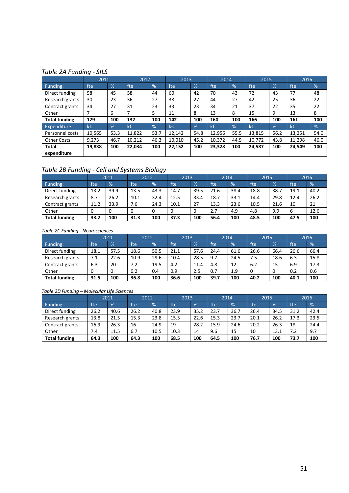#### *Table 2A Funding - SILS*

|                      | 2011   |               | 2012           |      | 2013   |               | 2014   |      | 2015   |               | 2016   |      |
|----------------------|--------|---------------|----------------|------|--------|---------------|--------|------|--------|---------------|--------|------|
| Funding:             | fte    | %             | fte            | %    | fte    | $\frac{9}{6}$ | fte    | %    | fte    | $\frac{9}{6}$ | fte    | %    |
| Direct funding       | 58     | 45            | 58             | 44   | 60     | 42            | 70     | 43   | 72     | 43            | 77     | 48   |
| Research grants      | 30     | 23            | 36             | 27   | 38     | 27            | 44     | 27   | 42     | 25            | 36     | 22   |
| Contract grants      | 34     | 27            | 31             | 23   | 33     | 23            | 34     | 21   | 37     | 22            | 35     | 22   |
| Other                | 7      | 6             | $\overline{ }$ | 5    | 11     | 8             | 13     | 8    | 15     | 9             | 13     | 8    |
| <b>Total funding</b> | 129    | 100           | 132            | 100  | 142    | 100           | 160    | 100  | 166    | 100           | 161    | 100  |
| Expenditure:         | k€.    | $\frac{9}{6}$ | k€             | %    | k€     | $\frac{1}{2}$ | k€     | %    | k€     | $\%$          | k€     | %    |
| Personnel costs      | 10,565 | 53.3          | 11,822         | 53.7 | 12,142 | 54.8          | 12,956 | 55.5 | 13,815 | 56.2          | 13,251 | 54.0 |
| <b>Other Costs</b>   | 9,273  | 46.7          | 10,212         | 46.3 | 10.010 | 45.2          | 10,372 | 44.5 | 10,772 | 43.8          | 11,298 | 46.0 |
| <b>Total</b>         | 19,838 | 100           | 22,034         | 100  | 22,152 | 100           | 23,328 | 100  | 24,587 | 100           | 24,549 | 100  |
| expenditure          |        |               |                |      |        |               |        |      |        |               |        |      |

# *Table 2B Funding - Cell and Systems Biology*

|                      |                  | 2011          | 2012 |      | 2013 |               | 2014 |               | 2015 |               |      | 2016          |
|----------------------|------------------|---------------|------|------|------|---------------|------|---------------|------|---------------|------|---------------|
| Funding:             | fte <sup>1</sup> | $\frac{9}{6}$ | fte  | %    | fte  | $\frac{9}{6}$ | fte  | $\frac{9}{6}$ | fte  | $\frac{9}{6}$ | fte  | $\frac{9}{6}$ |
| Direct funding       | 13.2             | 39.9          | 13.5 | 43.3 | 14.7 | 39.5          | 21.6 | 38.4          | 18.8 | 38.7          | 19.1 | 40.2          |
| Research grants      | 8.7              | 26.2          | 10.1 | 32.4 | 12.5 | 33.4          | 18.7 | 33.1          | 14.4 | 29.8          | 12.4 | 26.2          |
| Contract grants      | 11.2             | 33.9          | 7.6  | 24.3 | 10.1 | 27            | 13.3 | 23.6          | 10.5 | 21.6          | 10   | 21            |
| Other                | 0                |               | 0    | 0    | 0    | 0             | 2.7  | 4.9           | 4.8  | 9.9           | 6    | 12.6          |
| <b>Total funding</b> | 33.2             | 100           | 31.3 | 100  | 37.3 | 100           | 56.4 | 100           | 48.5 | 100           | 47.5 | 100           |

#### *Table 2C Funding - Neurosciences*

|                      |            | 2011          | 2012 |               | 2013 |               | 2014 |               | 2015 |      |      | 2016          |
|----------------------|------------|---------------|------|---------------|------|---------------|------|---------------|------|------|------|---------------|
| Funding:             | <b>fte</b> | $\frac{9}{6}$ | fte  | $\frac{9}{6}$ | fte  | $\frac{9}{6}$ | fte  | $\frac{9}{6}$ | fte  | $\%$ | fte  | $\frac{9}{6}$ |
| Direct funding       | 18.1       | 57.5          | 18.6 | 50.5          | 21.1 | 57.6          | 24.4 | 61.6          | 26.6 | 66.4 | 26.6 | 66.4          |
| Research grants      | 7.1        | 22.6          | 10.9 | 29.6          | 10.4 | 28.5          | 9.7  | 24.5          | 7.5  | 18.6 | 6.3  | 15.8          |
| Contract grants      | 6.3        | 20            | 7.2  | 19.5          | 4.2  | 11.4          | 4.8  | 12            | 6.2  | 15   | 6.9  | 17.3          |
| Other                |            | 0             | 0.2  | 0.4           | 0.9  | 2.5           | 0.7  | 1.9           |      | 0    | 0.2  | 0.6           |
| <b>Total funding</b> | 31.5       | 100           | 36.8 | 100           | 36.6 | 100           | 39.7 | 100           | 40.2 | 100  | 40.1 | 100           |

#### *Table 2D Funding – Molecular Life Sciences*

|                      |      | 2011 | 2012 |               | 2013 |               | 2014 |               | 2015 |      | 2016 |               |
|----------------------|------|------|------|---------------|------|---------------|------|---------------|------|------|------|---------------|
| Funding:             | fte  | %    | fte  | $\frac{9}{6}$ | fte  | $\frac{9}{6}$ | fte  | $\frac{9}{6}$ | fte  | $\%$ | fte  | $\frac{9}{6}$ |
| Direct funding       | 26.2 | 40.6 | 26.2 | 40.8          | 23.9 | 35.2          | 23.7 | 36.7          | 26.4 | 34.5 | 31.2 | 42.4          |
| Research grants      | 13.8 | 21.5 | 15.3 | 23.8          | 15.3 | 22.6          | 15.3 | 23.7          | 20.1 | 26.2 | 17.3 | 23.5          |
| Contract grants      | 16.9 | 26.3 | 16   | 24.9          | 19   | 28.2          | 15.9 | 24.6          | 20.2 | 26.3 | 18   | 24.4          |
| Other                | 7.4  | 11.5 | 6.7  | 10.5          | 10.3 | 14            | 9.6  | 15            | 10   | 13.1 | 7.2  | 9.7           |
| <b>Total funding</b> | 64.3 | 100  | 64.3 | 100           | 68.5 | 100           | 64.5 | 100           | 76.7 | 100  | 73.7 | 100           |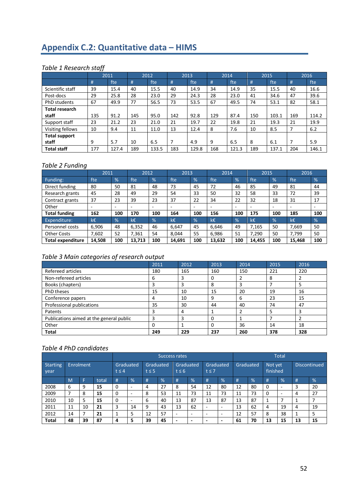# **Appendix C.2: Quantitative data – HIMS**

# *Table 1 Research staff*

|                      |     | 2011  |     | 2012  |     | 2013  |     | 2014  |     | 2015  |     | 2016  |
|----------------------|-----|-------|-----|-------|-----|-------|-----|-------|-----|-------|-----|-------|
|                      | #   | fte   | #   | fte   | #   | fte   | #   | fte   | #   | fte   | #   | fte   |
| Scientific staff     | 39  | 15.4  | 40  | 15.5  | 40  | 14.9  | 34  | 14.9  | 35  | 15.5  | 40  | 16.6  |
| Post-docs            | 29  | 25.8  | 28  | 23.0  | 29  | 24.3  | 28  | 23.0  | 41  | 34.6  | 47  | 39.6  |
| PhD students         | 67  | 49.9  | 77  | 56.5  | 73  | 53.5  | 67  | 49.5  | 74  | 53.1  | 82  | 58.1  |
| Total research       |     |       |     |       |     |       |     |       |     |       |     |       |
| staff                | 135 | 91.2  | 145 | 95.0  | 142 | 92.8  | 129 | 87.4  | 150 | 103.1 | 169 | 114.2 |
| Support staff        | 23  | 21.2  | 23  | 21.0  | 21  | 19.7  | 22  | 19.8  | 21  | 19.3  | 21  | 19.9  |
| Visiting fellows     | 10  | 9.4   | 11  | 11.0  | 13  | 12.4  | 8   | 7.6   | 10  | 8.5   |     | 6.2   |
| <b>Total support</b> |     |       |     |       |     |       |     |       |     |       |     |       |
| staff                | 9   | 5.7   | 10  | 6.5   | 7   | 4.9   | 9   | 6.5   | 8   | 6.1   | 7   | 5.9   |
| <b>Total staff</b>   | 177 | 127.4 | 189 | 133.5 | 183 | 129.8 | 168 | 121.3 | 189 | 137.1 | 204 | 146.1 |

# *Table 2 Funding*

|                          | 2011   |               | 2012   |                          | 2013                     |               | 2014                     |               | 2015   |                | 2016                     |     |
|--------------------------|--------|---------------|--------|--------------------------|--------------------------|---------------|--------------------------|---------------|--------|----------------|--------------------------|-----|
| Funding:                 | fte    | %             | fte    | %                        | fte                      | $\frac{9}{6}$ | fte                      | $\frac{9}{6}$ | fte    | $\frac{9}{6}$  | fte                      | %   |
| Direct funding           | 80     | 50            | 81     | 48                       | 73                       | 45            | 72                       | 46            | 85     | 49             | 81                       | 44  |
| Research grants          | 45     | 28            | 49     | 29                       | 54                       | 33            | 50                       | 32            | 58     | 33             | 72                       | 39  |
| Contract grants          | 37     | 23            | 39     | 23                       | 37                       | 22            | 34                       | 22            | 32     | 18             | 31                       | 17  |
| Other                    |        | -             | -      | $\overline{\phantom{0}}$ | $\overline{\phantom{a}}$ | ۰             | $\overline{\phantom{a}}$ | -             | -      | $\overline{a}$ | $\overline{\phantom{0}}$ |     |
| <b>Total funding</b>     | 162    | 100           | 170    | 100                      | 164                      | 100           | 156                      | 100           | 175    | 100            | 185                      | 100 |
| Expenditure:             | k€     | $\frac{9}{6}$ | k€     | %                        | k€                       | $\frac{9}{6}$ | $k\bar{\epsilon}$        | %             | k€     | %              | k€.                      | %   |
| Personnel costs          | 6,906  | 48            | 6,352  | 46                       | 6,647                    | 45            | 6,646                    | 49            | 7,165  | 50             | 7,669                    | 50  |
| <b>Other Costs</b>       | 7,602  | 52            | 7.361  | 54                       | 8.044                    | 55            | 6,986                    | 51            | 7.290  | 50             | 7.799                    | 50  |
| <b>Total expenditure</b> | 14,508 | 100           | 13,713 | 100                      | 14,691                   | 100           | 13,632                   | 100           | 14,455 | 100            | 15,468                   | 100 |

# *Table 3 Main categories of research output*

|                                          | 2011 | 2012 | 2013         | 2014 | 2015 | 2016 |
|------------------------------------------|------|------|--------------|------|------|------|
| Refereed articles                        | 180  | 165  | 160          | 150  | 221  | 220  |
| Non-refereed articles                    | 6    |      | 0            |      | 8    |      |
| Books (chapters)                         |      |      | 8            | 3    |      |      |
| <b>PhD theses</b>                        | 15   | 10   | 15           | 20   | 19   | 16   |
| Conference papers                        | 4    | 10   | 9            | 6    | 23   | 15   |
| Professional publications                | 35   | 30   | 44           | 40   | 74   | 47   |
| Patents                                  |      | 4    |              |      | 5    |      |
| Publications aimed at the general public |      |      | 0            |      |      |      |
| Other                                    | 0    |      | <sup>0</sup> | 36   | 14   | 18   |
| <b>Total</b>                             | 249  | 229  | 237          | 260  | 378  | 328  |

|                  |    |            |       |                         |                          |                         |      | Success rates            |                          |                          |                          |           |               |         | <b>Total</b><br><b>Discontinued</b><br>finished<br>%<br>$\frac{9}{6}$<br>#<br>$\overline{\phantom{0}}$<br>-<br>19<br>4 |    |    |  |
|------------------|----|------------|-------|-------------------------|--------------------------|-------------------------|------|--------------------------|--------------------------|--------------------------|--------------------------|-----------|---------------|---------|------------------------------------------------------------------------------------------------------------------------|----|----|--|
| Starting<br>year |    | Enrolment. |       | Graduated<br>$t \leq 4$ |                          | Graduated<br>$t \leq 5$ |      | $t \leq 6$               | Graduated                | Graduated<br>$t \leq 7$  |                          | Graduated |               | Not yet |                                                                                                                        |    |    |  |
|                  | M  |            | total | #                       | %                        | #                       | $\%$ | #                        | $\frac{9}{6}$            | #                        | $\frac{9}{6}$            | #         | $\frac{9}{6}$ | #       |                                                                                                                        |    |    |  |
| 2008             | 6  | 9          | 15    | 0                       | $\overline{\phantom{0}}$ | 4                       | 27   | 8                        | 54                       | 12                       | 80                       | 12        | 80            | 0       |                                                                                                                        |    | 20 |  |
| 2009             |    | 8          | 15    | 0                       | $\overline{\phantom{0}}$ | 8                       | 53   | 11                       | 73                       | 11                       | 73                       | 11        | 73            | 0       |                                                                                                                        |    | 27 |  |
| 2010             | 10 | 5          | 15    | 0                       | $\overline{\phantom{0}}$ | 6                       | 40   | 13                       | 87                       | 13                       | 87                       | 13        | 87            | 1       |                                                                                                                        |    |    |  |
| 2011             | 11 | 10         | 21    | 3                       | 14                       | 9                       | 43   | 13                       | 62                       | $\overline{\phantom{0}}$ | -                        | 13        | 62            | 4       |                                                                                                                        |    | 19 |  |
| 2012             | 14 |            | 21    |                         | 5                        | 12                      | 57   | $\overline{\phantom{0}}$ | $\overline{\phantom{0}}$ | $\overline{\phantom{0}}$ | $\overline{\phantom{0}}$ | 12        | 57            | 8       | 38                                                                                                                     |    | 5  |  |
| <b>Total</b>     | 48 | 39         | 87    | 4                       | 5                        | 39                      | 45   | -                        | -                        | -                        | -                        | 61        | 70            | 13      | 15                                                                                                                     | 13 | 15 |  |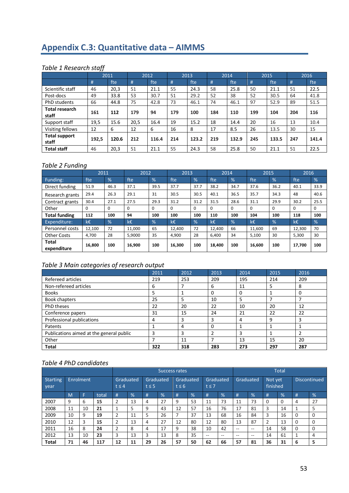# **Appendix C.3: Quantitative data – AIMMS**

# *Table 1 Research staff*

|                                |       | 2011  |      | 2012  |     | 2013  |     | 2014  |     | 2015  |     | 2016  |
|--------------------------------|-------|-------|------|-------|-----|-------|-----|-------|-----|-------|-----|-------|
|                                | #     | fte   | #    | fte   | #   | fte   | #   | fte   | #   | fte   | #   | fte   |
| Scientific staff               | 46    | 20,3  | 51   | 21.1  | 55  | 24.3  | 58  | 25.8  | 50  | 21.1  | 51  | 22.5  |
| Post-docs                      | 49    | 33.8  | 53   | 30.7  | 51  | 29.2  | 52  | 38    | 52  | 30.5  | 64  | 41.8  |
| PhD students                   | 66    | 44.8  | 75   | 42.8  | 73  | 46.1  | 74  | 46.1  | 97  | 52.9  | 89  | 51.5  |
| <b>Total research</b><br>staff | 161   | 112   | 179  | 94    | 179 | 100   | 184 | 110   | 199 | 104   | 204 | 116   |
| Support staff                  | 19,5  | 15.6  | 20.5 | 16.4  | 19  | 15.2  | 18  | 14.4  | 20  | 16    | 13  | 10.4  |
| Visiting fellows               | 12    | 6     | 12   | 6     | 16  | 8     | 17  | 8.5   | 26  | 13.5  | 30  | 15    |
| <b>Total support</b><br>staff  | 192,5 | 120.6 | 212  | 116.4 | 214 | 123.2 | 219 | 132.9 | 245 | 133.5 | 247 | 141.4 |
| <b>Total staff</b>             | 46    | 20,3  | 51   | 21.1  | 55  | 24.3  | 58  | 25.8  | 50  | 21.1  | 51  | 22.5  |

# *Table 2 Funding*

|                      | 2011     |               | 2012   |               | 2013   |      | 2014   |          | 2015   |               | 2016   |               |
|----------------------|----------|---------------|--------|---------------|--------|------|--------|----------|--------|---------------|--------|---------------|
| Funding:             | fte      | $\frac{9}{6}$ | fte    | %             | fte    | %    | fte    | %        | fte    | $\frac{9}{6}$ | fte    | %             |
| Direct funding       | 51.9     | 46.3          | 37.1   | 39.5          | 37.7   | 37.7 | 38.2   | 34.7     | 37.6   | 36.2          | 40.1   | 33.9          |
| Research grants      | 29.4     | 26.3          | 29.1   | 31            | 30.5   | 30.5 | 40.1   | 36.5     | 35.7   | 34.3          | 48     | 40.6          |
| Contract grants      | 30.4     | 27.1          | 27.5   | 29.3          | 31.2   | 31.2 | 31.5   | 28.6     | 31.1   | 29.9          | 30.2   | 25.5          |
| Other                | $\Omega$ | $\Omega$      | 0      | $\Omega$      | 0      | 0    | 0      | $\Omega$ | 0      | $\Omega$      | 0      | 0             |
| <b>Total funding</b> | 112      | 100           | 94     | 100           | 100    | 100  | 110    | 100      | 104    | 100           | 118    | 100           |
| Expenditure:         | k€       | $\frac{9}{6}$ | k€     | $\frac{9}{6}$ | k€     | %    | k€     | %        | k€     | $\frac{9}{6}$ | k€.    | $\frac{9}{6}$ |
| Personnel costs      | 12,100   | 72            | 11.000 | 65            | 12,400 | 72   | 12.400 | 66       | 11,600 | 69            | 12,300 | 70            |
| <b>Other Costs</b>   | 4.700    | 28            | 5,9000 | 35            | 4.900  | 28   | 6.400  | 34       | 5,100  | 30            | 5,300  | 30            |
| Total<br>expenditure | 16,800   | 100           | 16,900 | 100           | 16,300 | 100  | 18,400 | 100      | 16,600 | 100           | 17,700 | 100           |

# *Table 3 Main categories of research output*

|                                          | 2011 | 2012 | 2013     | 2014 | 2015 | 2016 |
|------------------------------------------|------|------|----------|------|------|------|
| Refereed articles                        | 219  | 253  | 209      | 195  | 214  | 209  |
| Non-refereed articles                    | 6    |      | 6        | 11   | 5    | 8    |
| <b>Books</b>                             | 5    |      | $\Omega$ | 0    |      | 0    |
| <b>Book chapters</b>                     | 25   | כ    | 10       | 5    |      |      |
| PhD theses                               | 22   | 20   | 22       | 10   | 20   | 12   |
| Conference papers                        | 31   | 15   | 24       | 21   | 22   | 22   |
| Professional publications                | 4    | 3    | 3        | 4    | 9    | 3    |
| Patents                                  |      | 4    | $\Omega$ | 4    | 1    |      |
| Publications aimed at the general public | з    | 3    | 2        | 3    |      |      |
| Other                                    |      | 11   |          | 13   | 15   | 20   |
| <b>Total</b>                             | 322  | 318  | 283      | 273  | 297  | 287  |

|                         |                |           |       |                         |    |                         |    | <b>Success rates</b>    |               |                         |       |           |               |                     | <b>Total</b>  |   |                     |
|-------------------------|----------------|-----------|-------|-------------------------|----|-------------------------|----|-------------------------|---------------|-------------------------|-------|-----------|---------------|---------------------|---------------|---|---------------------|
| <b>Starting</b><br>year |                | Enrolment |       | Graduated<br>$t \leq 4$ |    | Graduated<br>$t \leq 5$ |    | Graduated<br>$t \leq 6$ |               | Graduated<br>$t \leq 7$ |       | Graduated |               | Not yet<br>finished |               |   | <b>Discontinued</b> |
|                         | M <sub>1</sub> | Е         | total | #                       | %  | #                       | %  | #                       | $\frac{9}{6}$ | #                       | %     | #         | $\frac{9}{6}$ | #                   | $\frac{9}{6}$ | # | %                   |
| 2007                    | 9              | 6         | 15    | 2                       | 13 | 4                       | 27 | 9                       | 53            | 11                      | 73    | 11        | 73            | 0                   | $\Omega$      | 4 | 27                  |
| 2008                    | 11             | 10        | 21    |                         | 5  | 9                       | 43 | 12                      | 57            | 16                      | 76    | 17        | 81            | 3                   | 14            |   | 5                   |
| 2009                    | 10             | 9         | 19    | 2                       | 11 | 5                       | 26 |                         | 37            | 13                      | 68    | 16        | 84            | 3                   | 16            |   | $\Omega$            |
| 2010                    | 12             | 3         | 15    | 2                       | 13 | 4                       | 27 | 12                      | 80            | 12                      | 80    | 13        | 87            | 2                   | 13            |   | $\Omega$            |
| 2011                    | 16             | 8         | 24    |                         | 8  | 4                       | 17 | 9                       | 38            | 10                      | 42    | --        | $- -$         | 14                  | 58            |   | $\Omega$            |
| 2012                    | 13             | 10        | 23    | 3                       | 13 | 3                       | 13 | 8                       | 35            | $- -$                   | $- -$ | --        | $- -$         | 14                  | 61            |   | 4                   |
| Total                   | 71             | 46        | 117   | 12                      | 11 | 29                      | 26 | 57                      | 50            | 62                      | 66    | 57        | 81            | 36                  | 31            | 6 | 5                   |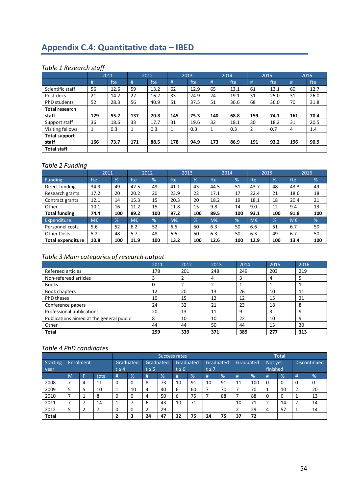# **Appendix C.4: Quantitative data – IBED**

# *Table 1 Research staff*

|                       |     | 2011 |     | 2012 |     | 2013 |     | 2014 |     | 2015 |     | 2016 |
|-----------------------|-----|------|-----|------|-----|------|-----|------|-----|------|-----|------|
|                       | #   | fte  | #   | fte  | #   | fte  | #   | fte  | #   | fte  | #   | fte  |
| Scientific staff      | 56  | 12.6 | 59  | 13.2 | 62  | 12.9 | 65  | 13.1 | 61  | 13.1 | 60  | 12.7 |
| Post-docs             | 21  | 14.2 | 22  | 16.7 | 33  | 24.9 | 24  | 19.1 | 31  | 25.0 | 31  | 26.0 |
| PhD students          | 52  | 28.3 | 56  | 40.9 | 51  | 37.5 | 51  | 36.6 | 68  | 36.0 | 70  | 31.8 |
| <b>Total research</b> |     |      |     |      |     |      |     |      |     |      |     |      |
| staff                 | 129 | 55.2 | 137 | 70.8 | 145 | 75.3 | 140 | 68.8 | 159 | 74.1 | 161 | 70.4 |
| Support staff         | 36  | 18.6 | 33  | 17.7 | 31  | 19.6 | 32  | 18.1 | 30  | 18.2 | 31  | 20.5 |
| Visiting fellows      | 1   | 0.3  |     | 0.3  | 1   | 0.3  | 1   | 0.3  | 2   | 0.7  | 4   | 1.4  |
| <b>Total support</b>  |     |      |     |      |     |      |     |      |     |      |     |      |
| staff                 | 166 | 73.7 | 171 | 88.5 | 178 | 94.9 | 173 | 86.9 | 191 | 92.2 | 196 | 90.9 |
| <b>Total staff</b>    |     |      |     |      |     |      |     |      |     |      |     |      |

# *Table 2 Funding*

|                          | 2011 |               | 2012 |     | 2013 |     | 2014 |               | 2015 |               | 2016 |     |
|--------------------------|------|---------------|------|-----|------|-----|------|---------------|------|---------------|------|-----|
| Funding:                 | fte  | %             | fte  | %   | fte  | %   | fte  | $\frac{9}{6}$ | fte  | $\frac{9}{6}$ | fte  | %   |
| Direct funding           | 34.9 | 49            | 42.5 | 49  | 41.1 | 43  | 44.5 | 51            | 43.7 | 48            | 43.3 | 49  |
| Research grants          | 17.2 | 20            | 20.2 | 20  | 23.9 | 22  | 17.1 | 17            | 22.4 | 21            | 18.6 | 18  |
| Contract grants          | 12.1 | 14            | 15.3 | 15  | 20.3 | 20  | 18.2 | 19            | 18.1 | 18            | 20.4 | 21  |
| Other                    | 10.1 | 16            | 11.2 | 15  | 11.8 | 15  | 9.8  | 14            | 9.0  | 12            | 9.4  | 13  |
| <b>Total funding</b>     | 74.4 | 100           | 89.2 | 100 | 97.2 | 100 | 89.5 | 100           | 93.1 | 100           | 91.8 | 100 |
| <b>Expenditure:</b>      | M€   | $\frac{9}{6}$ | M€   | %   | M€   | %   | M€   | %             | M€   | $\frac{9}{6}$ | M€   | %   |
| Personnel costs          | 5.6  | 52            | 6.2  | 52  | 6.6  | 50  | 6.3  | 50            | 6.6  | 51            | 6.7  | 50  |
| <b>Other Costs</b>       | 5.2  | 48            | 5.7  | 48  | 6.6  | 50  | 6.3  | 50            | 6.3  | 49            | 6.7  | 50  |
| <b>Total expenditure</b> | 10.8 | 100           | 11.9 | 100 | 13.2 | 100 | 12.6 | 100           | 12.9 | 100           | 13.4 | 100 |

# *Table 3 Main categories of research output*

|                                          | 2011 | 2012 | 2013 | 2014 | 2015 | 2016 |
|------------------------------------------|------|------|------|------|------|------|
| Refereed articles                        | 178  | 201  | 248  | 249  | 203  | 219  |
| Non-refereed articles                    |      |      | 4    |      | 4    |      |
| <b>Books</b>                             | 0    |      |      |      |      |      |
| Book chapters                            | 12   | 20   | 13   | 26   | 10   | 11   |
| <b>PhD theses</b>                        | 10   | 15   | 12   | 12   | 15   | 21   |
| Conference papers                        | 24   | 32   | 21   | 23   | 18   | 8    |
| Professional publications                | 20   | 13   | 11   | 9    | 3    | 9    |
| Publications aimed at the general public | 8    | 10   | 10   | 22   | 10   | 9    |
| Other                                    | 44   | 44   | 50   | 44   | 13   | 30   |
| <b>Total</b>                             | 299  | 339  | 371  | 389  | 277  | 313  |

|                         |   |           |       |            |           |                         |    | Success rates           |               |                         |    |            |               |                     | <b>Total</b> |   |                     |
|-------------------------|---|-----------|-------|------------|-----------|-------------------------|----|-------------------------|---------------|-------------------------|----|------------|---------------|---------------------|--------------|---|---------------------|
| Starting<br><b>year</b> |   | Enrolment |       | $t \leq 4$ | Graduated | Graduated<br>$t \leq 5$ |    | Graduated<br>$t \leq 6$ |               | Graduated<br>$t \leq 7$ |    | Graduated, |               | Not yet<br>finished |              |   | <b>Discontinued</b> |
|                         | M |           | total | #          | %         | #                       | %  | #                       | $\frac{9}{6}$ | #                       | %  | #          | $\frac{9}{6}$ | #                   | $\%$         | # | $\frac{9}{6}$       |
| 2008                    |   |           | 11    | 0          | 0         | 8                       | 73 | 10                      | 91            | 10                      | 91 | 11         | 100           | 0                   | 0            |   | 0                   |
| 2009                    | 5 |           | 10    |            | 10        | 4                       | 40 | 6                       | 60            |                         | 70 |            | 70            |                     | 10           |   | 20                  |
| 2010                    |   |           | 8     | 0          | 0         | 4                       | 50 | 6                       | 75            |                         | 88 |            | 88            | 0                   | 0            |   | 13                  |
| 2011                    |   |           | 14    |            |           | 6                       | 43 | 10                      | 71            |                         |    | 10         | 71            |                     | 14           |   | 14                  |
| 2012                    | כ |           |       | $\Omega$   | 0         | ำ                       | 29 |                         |               |                         |    |            | 29            | 4                   | 57           |   | 14                  |
| <b>Total</b>            |   |           |       |            | 3         | 24                      | 47 | 32                      | 75            | 24                      | 75 | 37         | 72            |                     |              |   |                     |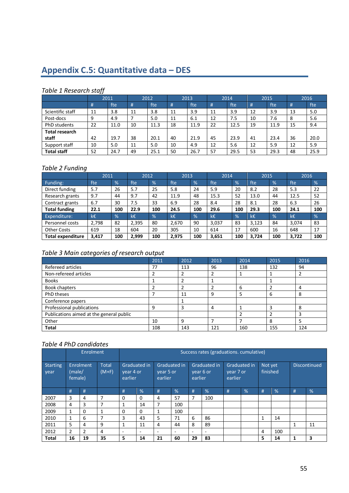# **Appendix C.5: Quantitative data – DES**

# *Table 1 Research staff*

|                       |    | 2011 |    | 2012 |    | 2013 |    | 2014 |    | 2015 |    | 2016 |
|-----------------------|----|------|----|------|----|------|----|------|----|------|----|------|
|                       | #  | fte  | #  | fte  | #  | fte  | #  | fte  | #  | fte  | #  | fte  |
| Scientific staff      | 11 | 3.8  | 11 | 3.8  | 11 | 3.9  | 11 | 3.9  | 12 | 3.9  | 13 | 5.0  |
| Post-docs             | 9  | 4.9  |    | 5.0  | 11 | 6.1  | 12 | 7.5  | 10 | 7.6  | 8  | 5.6  |
| <b>PhD</b> students   | 22 | 11.0 | 10 | 11.3 | 18 | 11.9 | 22 | 12.5 | 19 | 11.9 | 15 | 9.4  |
| <b>Total research</b> |    |      |    |      |    |      |    |      |    |      |    |      |
| staff                 | 42 | 19.7 | 38 | 20.1 | 40 | 21.9 | 45 | 23.9 | 41 | 23.4 | 36 | 20.0 |
| Support staff         | 10 | 5.0  | 11 | 5.0  | 10 | 4.9  | 12 | 5.6  | 12 | 5.9  | 12 | 5.9  |
| <b>Total staff</b>    | 52 | 24.7 | 49 | 25.1 | 50 | 26.7 | 57 | 29.5 | 53 | 29.3 | 48 | 25.9 |

## *Table 2 Funding*

|                      | 2011  |               | 2012  |     | 2013  |               | 2014  |               | 2015  |               | 2016  |               |
|----------------------|-------|---------------|-------|-----|-------|---------------|-------|---------------|-------|---------------|-------|---------------|
| Funding:             | fte   | $\frac{9}{6}$ | fte   | %   | fte   | $\frac{9}{6}$ | fte   | $\frac{9}{6}$ | fte   | $\frac{9}{6}$ | fte   | $\frac{9}{6}$ |
| Direct funding       | 5.7   | 26            | 5.7   | 25  | 5.8   | 24            | 5.9   | 20            | 8.2   | 28            | 5.3   | 22            |
| Research grants      | 9.7   | 44            | 9.7   | 42  | 11.9  | 48            | 15.3  | 52            | 13.0  | 44            | 12.5  | 52            |
| Contract grants      | 6.7   | 30            | 7.5   | 33  | 6.9   | 28            | 8.4   | 28            | 8.1   | 28            | 6.3   | 26            |
| <b>Total funding</b> | 22.1  | 100           | 22.9  | 100 | 24.5  | 100           | 29.6  | 100           | 29.3  | 100           | 24.1  | 100           |
| Expenditure:         | k€    | $\frac{9}{6}$ | k€    | %   | k€    | %             | k€    | %             | k€    | $\%$          | k€    | %             |
| Personnel costs      | 2,798 | 82            | 2,395 | 80  | 2,670 | 90            | 3.037 | 83            | 3,123 | 84            | 3,074 | 83            |
| <b>Other Costs</b>   | 619   | 18            | 604   | 20  | 305   | 10            | 614   | 17            | 600   | 16            | 648   | 17            |
| Total expenditure    | 3,417 | 100           | 2.999 | 100 | 2,975 | 100           | 3.651 | 100           | 3.724 | 100           | 3,722 | 100           |

# *Table 3 Main categories of research output*

|                                          | 2011 | 2012 | 2013 | 2014 | 2015 | 2016 |
|------------------------------------------|------|------|------|------|------|------|
| Refereed articles                        | 77   | 113  | 96   | 138  | 132  | 94   |
| Non-refereed articles                    |      |      |      |      |      |      |
| <b>Books</b>                             |      |      |      |      |      |      |
| <b>Book chapters</b>                     |      |      |      | 6    |      | 4    |
| <b>PhD theses</b>                        |      | 11   | 9    | 5    | 6    | 8    |
| Conference papers                        |      |      |      |      |      |      |
| Professional publications                | q    | З    | 4    |      |      | 8    |
| Publications aimed at the general public |      |      |      |      |      | 3    |
| Other                                    | 10   | q    |      |      | 8    |      |
| <b>Total</b>                             | 108  | 143  | 121  | 160  | 155  | 124  |

|                  |                   | Enrolment |                         | Success rates (graduations. cumulative) |                          |                      |                     |                          |                           |                      |              |                     |               |   |                     |
|------------------|-------------------|-----------|-------------------------|-----------------------------------------|--------------------------|----------------------|---------------------|--------------------------|---------------------------|----------------------|--------------|---------------------|---------------|---|---------------------|
| Starting<br>year | (male/<br>female) | Enrolment | <b>Total</b><br>$(M+F)$ | year 4 or<br>earlier                    | Graduated in             | vear 5 or<br>earlier | <b>Graduated in</b> | earlier                  | Graduated in<br>vear 6 or | vear 7 or<br>earlier | Graduated in | Not yet<br>finished |               |   | <b>Discontinued</b> |
|                  | #                 | #         |                         | #                                       | %                        | #                    | %                   | #                        | %                         | #                    | %            | #                   | $\frac{9}{6}$ | # | %                   |
| 2007             | 3                 | 4         | 7                       | 0                                       | $\Omega$                 | 4                    | 57                  | 7                        | 100                       |                      |              |                     |               |   |                     |
| 2008             | 4                 | 3         |                         |                                         | 14                       | 7                    | 100                 |                          |                           |                      |              |                     |               |   |                     |
| 2009             | $\mathbf{1}$      | 0         | 1                       | 0                                       | $\Omega$                 | 1                    | 100                 |                          |                           |                      |              |                     |               |   |                     |
| 2010             | $\mathbf{1}$      | 6         |                         | 3                                       | 43                       | 5                    | 71                  | 6                        | 86                        |                      |              | 1                   | 14            |   |                     |
| 2011             | 5                 | 4         | 9                       | 1                                       | 11                       | 4                    | 44                  | 8                        | 89                        |                      |              |                     |               | 1 | 11                  |
| 2012             | $\overline{2}$    | 2         | 4                       | $\overline{\phantom{a}}$                | $\overline{\phantom{0}}$ | ۰                    |                     | $\overline{\phantom{a}}$ |                           |                      |              | 4                   | 100           |   |                     |
| <b>Total</b>     | 16                | 19        | 35                      | 5                                       | 14                       | 21                   | 60                  | 29                       | 83                        |                      |              | 5                   | 14            | 1 | 3                   |